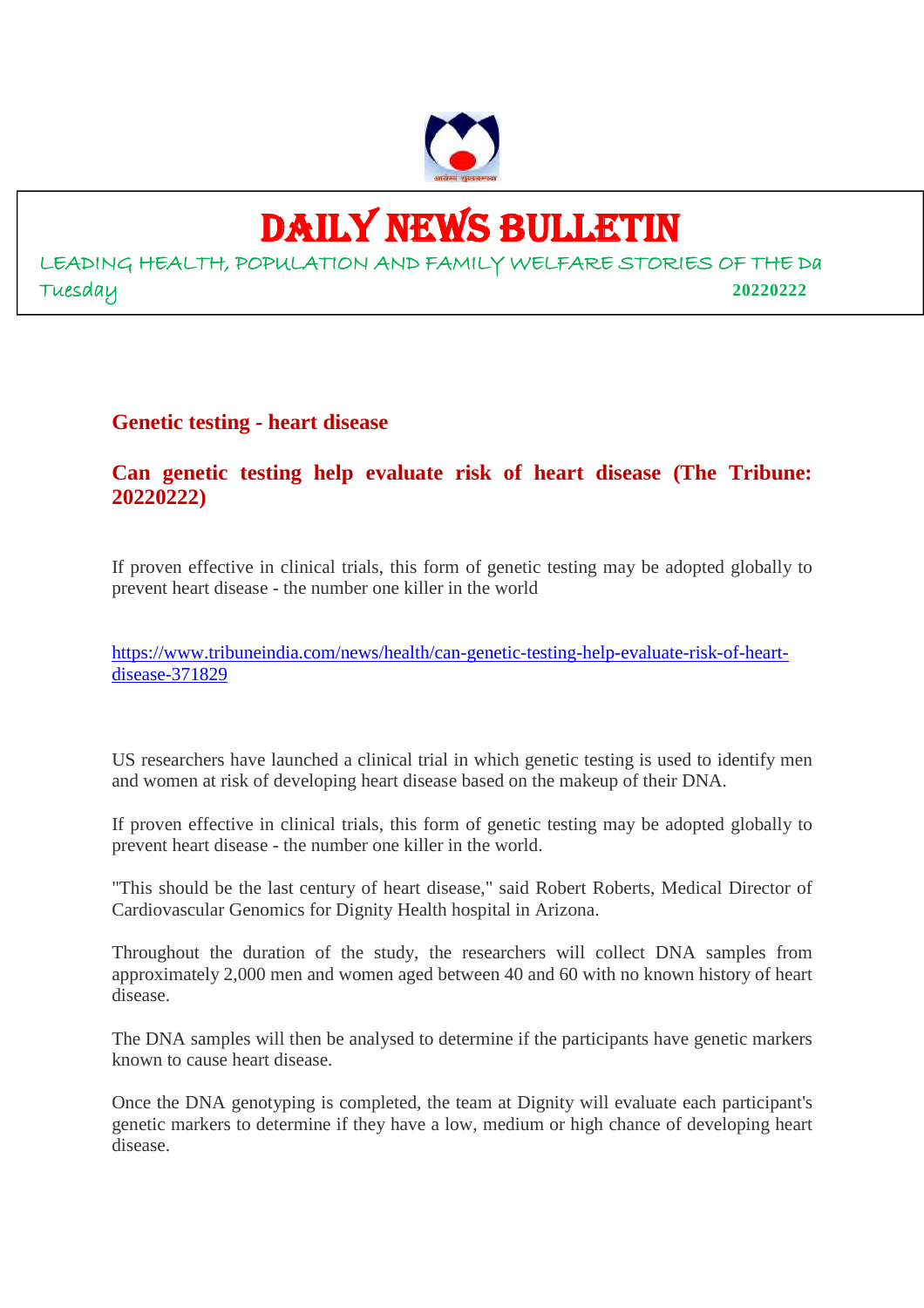

# DAILY NEWS BULLETIN

LEADING HEALTH, POPULATION AND FAMILY WELFARE STORIES OF THE Da Tuesday **20220222**

# **Genetic testing - heart disease**

# **Can genetic testing help evaluate risk of heart disease (The Tribune: 20220222)**

If proven effective in clinical trials, this form of genetic testing may be adopted globally to prevent heart disease - the number one killer in the world

https://www.tribuneindia.com/news/health/can-genetic-testing-help-evaluate-risk-of-heartdisease-371829

US researchers have launched a clinical trial in which genetic testing is used to identify men and women at risk of developing heart disease based on the makeup of their DNA.

If proven effective in clinical trials, this form of genetic testing may be adopted globally to prevent heart disease - the number one killer in the world.

"This should be the last century of heart disease," said Robert Roberts, Medical Director of Cardiovascular Genomics for Dignity Health hospital in Arizona.

Throughout the duration of the study, the researchers will collect DNA samples from approximately 2,000 men and women aged between 40 and 60 with no known history of heart disease.

The DNA samples will then be analysed to determine if the participants have genetic markers known to cause heart disease.

Once the DNA genotyping is completed, the team at Dignity will evaluate each participant's genetic markers to determine if they have a low, medium or high chance of developing heart disease.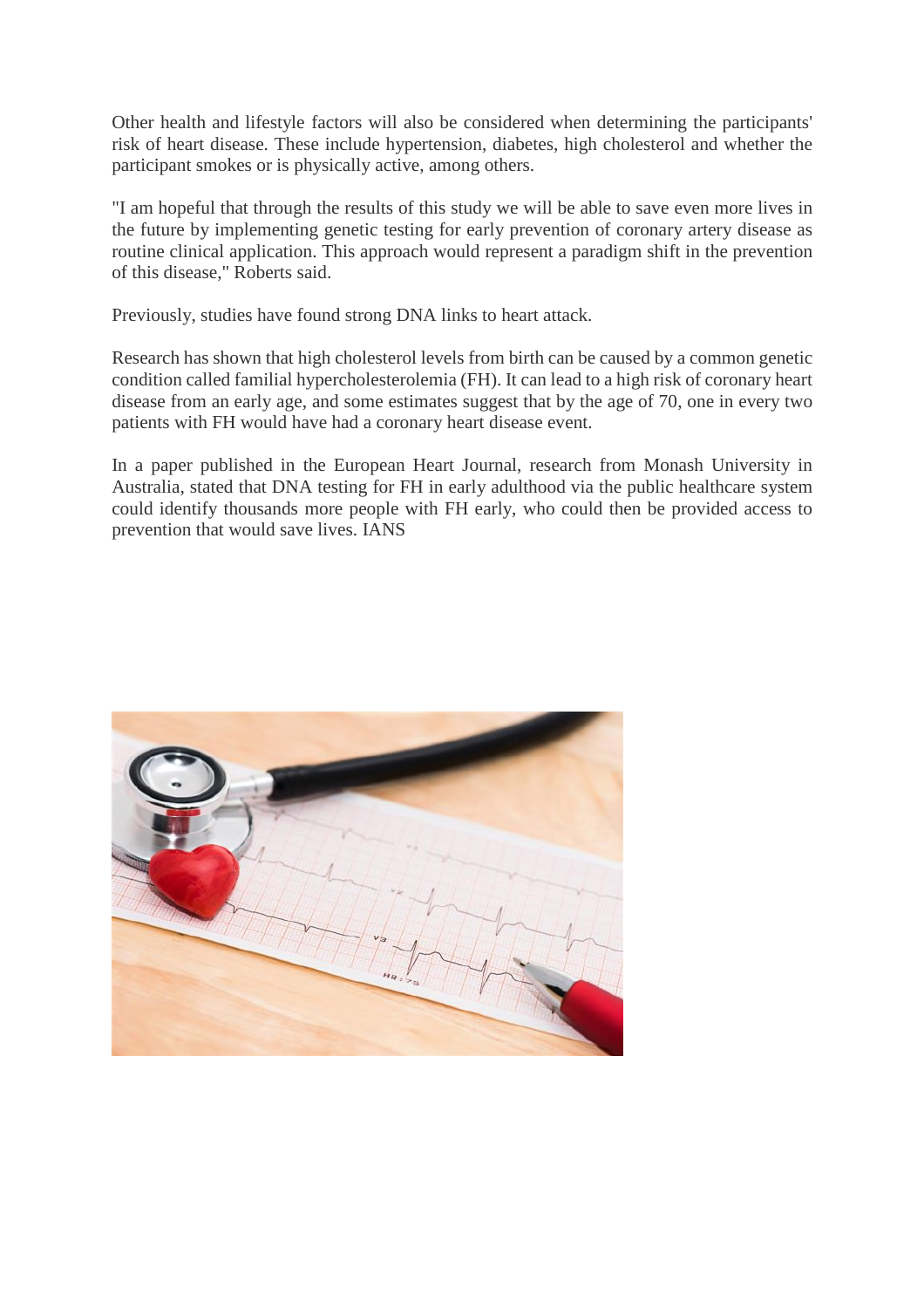Other health and lifestyle factors will also be considered when determining the participants' risk of heart disease. These include hypertension, diabetes, high cholesterol and whether the participant smokes or is physically active, among others.

"I am hopeful that through the results of this study we will be able to save even more lives in the future by implementing genetic testing for early prevention of coronary artery disease as routine clinical application. This approach would represent a paradigm shift in the prevention of this disease," Roberts said.

Previously, studies have found strong DNA links to heart attack.

Research has shown that high cholesterol levels from birth can be caused by a common genetic condition called familial hypercholesterolemia (FH). It can lead to a high risk of coronary heart disease from an early age, and some estimates suggest that by the age of 70, one in every two patients with FH would have had a coronary heart disease event.

In a paper published in the European Heart Journal, research from Monash University in Australia, stated that DNA testing for FH in early adulthood via the public healthcare system could identify thousands more people with FH early, who could then be provided access to prevention that would save lives. IANS

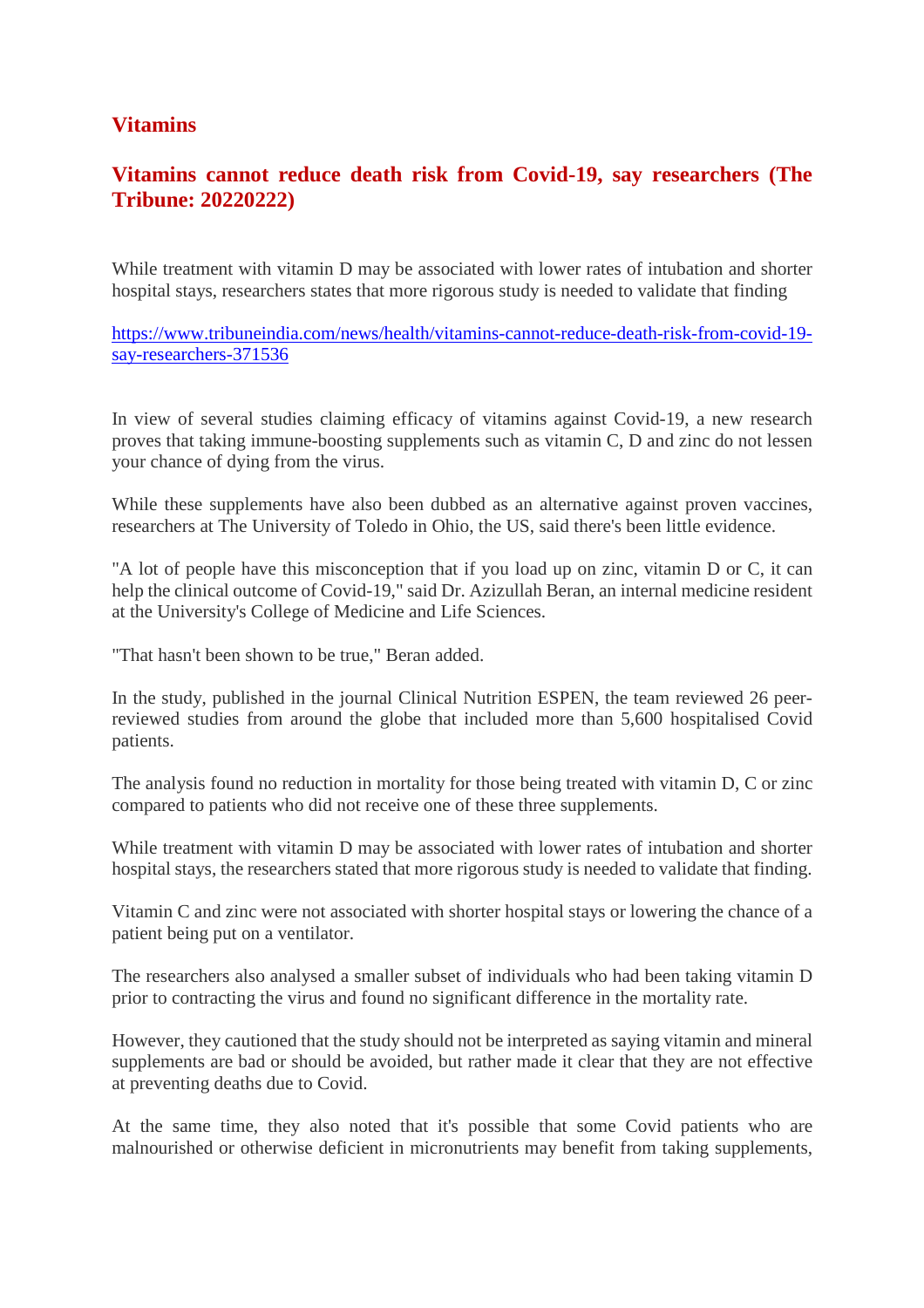# **Vitamins**

# **Vitamins cannot reduce death risk from Covid-19, say researchers (The Tribune: 20220222)**

While treatment with vitamin D may be associated with lower rates of intubation and shorter hospital stays, researchers states that more rigorous study is needed to validate that finding

https://www.tribuneindia.com/news/health/vitamins-cannot-reduce-death-risk-from-covid-19 say-researchers-371536

In view of several studies claiming efficacy of vitamins against Covid-19, a new research proves that taking immune-boosting supplements such as vitamin C, D and zinc do not lessen your chance of dying from the virus.

While these supplements have also been dubbed as an alternative against proven vaccines, researchers at The University of Toledo in Ohio, the US, said there's been little evidence.

"A lot of people have this misconception that if you load up on zinc, vitamin D or C, it can help the clinical outcome of Covid-19," said Dr. Azizullah Beran, an internal medicine resident at the University's College of Medicine and Life Sciences.

"That hasn't been shown to be true," Beran added.

In the study, published in the journal Clinical Nutrition ESPEN, the team reviewed 26 peerreviewed studies from around the globe that included more than 5,600 hospitalised Covid patients.

The analysis found no reduction in mortality for those being treated with vitamin D, C or zinc compared to patients who did not receive one of these three supplements.

While treatment with vitamin D may be associated with lower rates of intubation and shorter hospital stays, the researchers stated that more rigorous study is needed to validate that finding.

Vitamin C and zinc were not associated with shorter hospital stays or lowering the chance of a patient being put on a ventilator.

The researchers also analysed a smaller subset of individuals who had been taking vitamin D prior to contracting the virus and found no significant difference in the mortality rate.

However, they cautioned that the study should not be interpreted as saying vitamin and mineral supplements are bad or should be avoided, but rather made it clear that they are not effective at preventing deaths due to Covid.

At the same time, they also noted that it's possible that some Covid patients who are malnourished or otherwise deficient in micronutrients may benefit from taking supplements,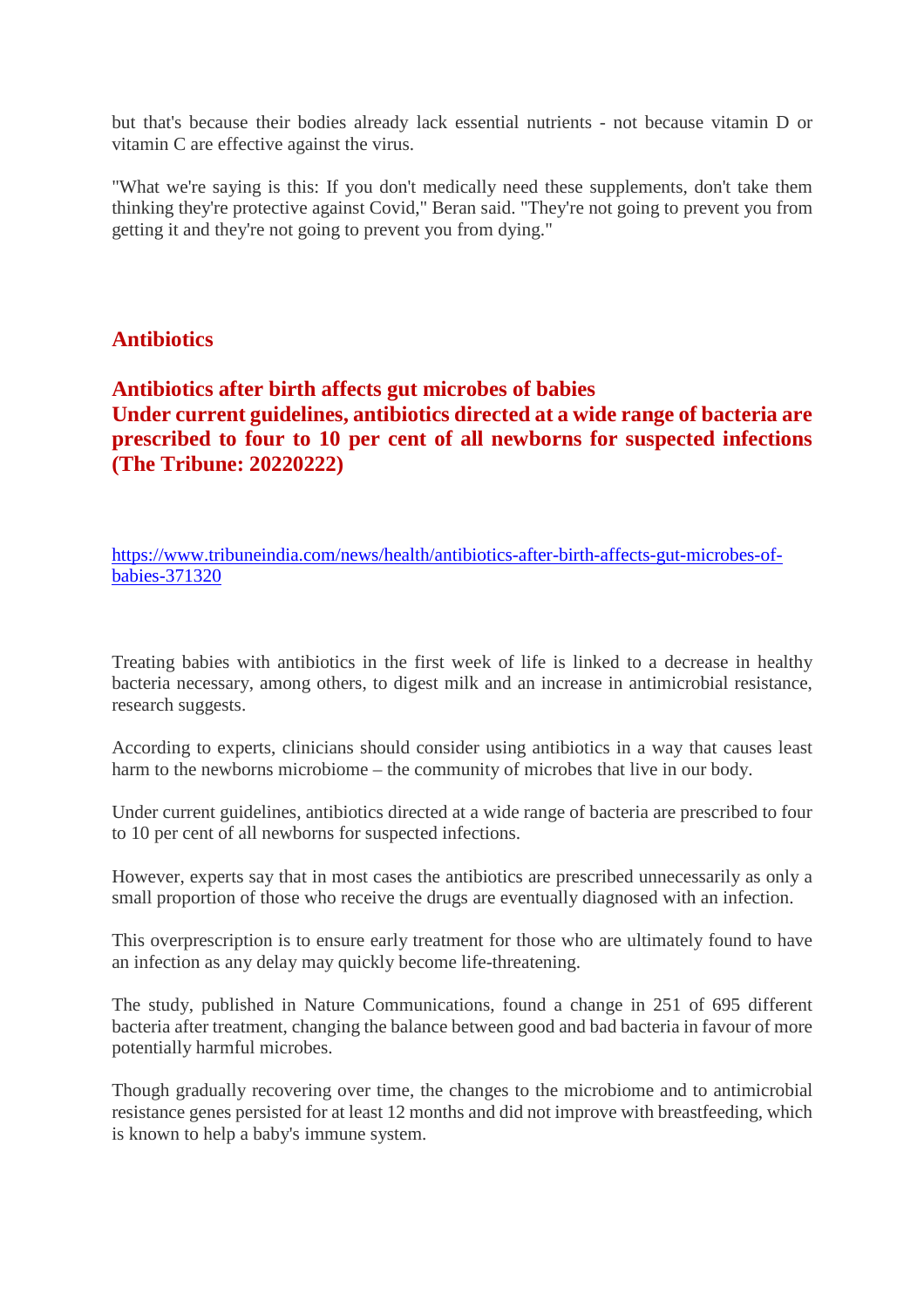but that's because their bodies already lack essential nutrients - not because vitamin D or vitamin C are effective against the virus.

"What we're saying is this: If you don't medically need these supplements, don't take them thinking they're protective against Covid," Beran said. "They're not going to prevent you from getting it and they're not going to prevent you from dying."

## **Antibiotics**

**Antibiotics after birth affects gut microbes of babies Under current guidelines, antibiotics directed at a wide range of bacteria are prescribed to four to 10 per cent of all newborns for suspected infections (The Tribune: 20220222)**

https://www.tribuneindia.com/news/health/antibiotics-after-birth-affects-gut-microbes-ofbabies-371320

Treating babies with antibiotics in the first week of life is linked to a decrease in healthy bacteria necessary, among others, to digest milk and an increase in antimicrobial resistance, research suggests.

According to experts, clinicians should consider using antibiotics in a way that causes least harm to the newborns microbiome – the community of microbes that live in our body.

Under current guidelines, antibiotics directed at a wide range of bacteria are prescribed to four to 10 per cent of all newborns for suspected infections.

However, experts say that in most cases the antibiotics are prescribed unnecessarily as only a small proportion of those who receive the drugs are eventually diagnosed with an infection.

This overprescription is to ensure early treatment for those who are ultimately found to have an infection as any delay may quickly become life-threatening.

The study, published in Nature Communications, found a change in 251 of 695 different bacteria after treatment, changing the balance between good and bad bacteria in favour of more potentially harmful microbes.

Though gradually recovering over time, the changes to the microbiome and to antimicrobial resistance genes persisted for at least 12 months and did not improve with breastfeeding, which is known to help a baby's immune system.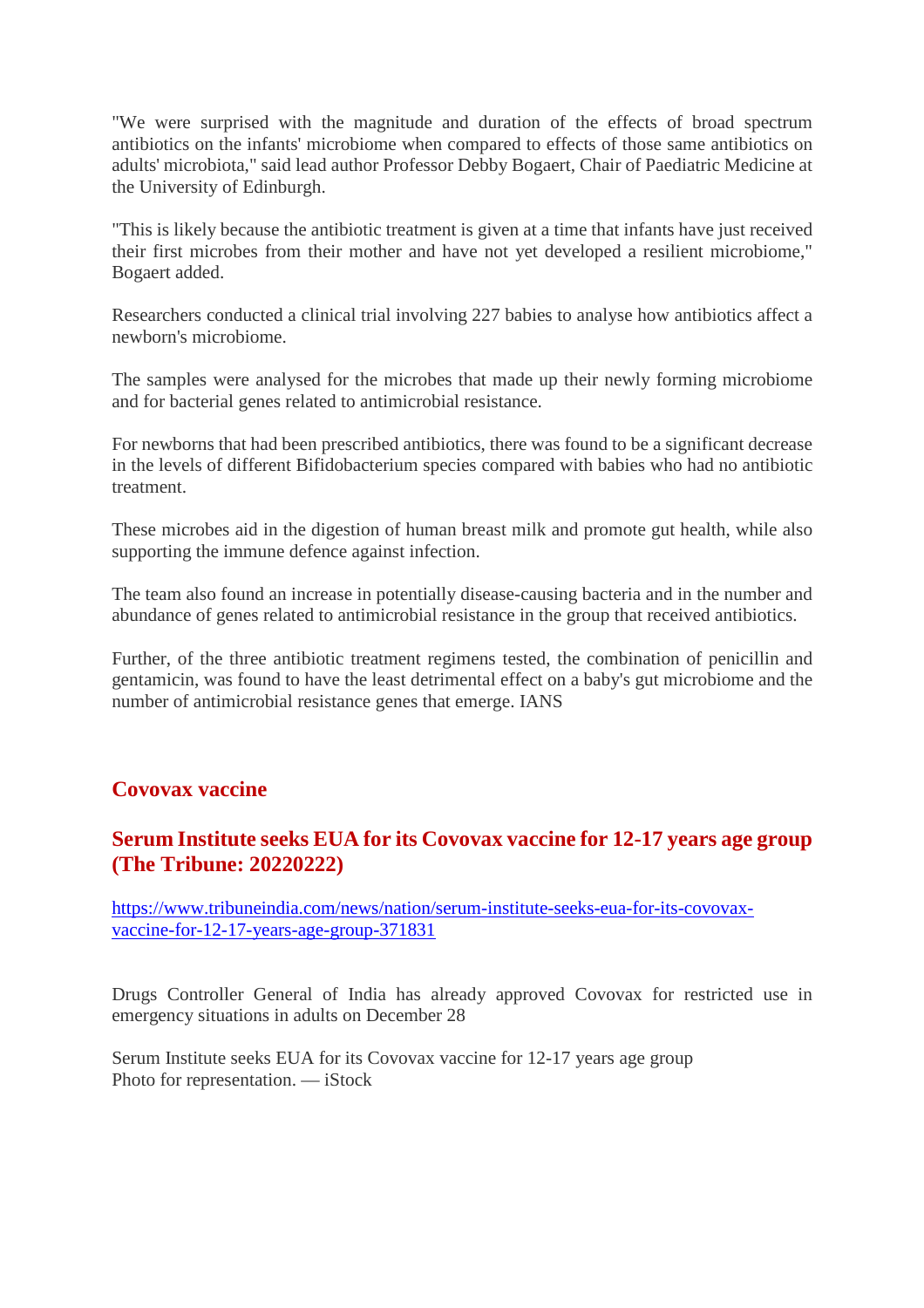"We were surprised with the magnitude and duration of the effects of broad spectrum antibiotics on the infants' microbiome when compared to effects of those same antibiotics on adults' microbiota," said lead author Professor Debby Bogaert, Chair of Paediatric Medicine at the University of Edinburgh.

"This is likely because the antibiotic treatment is given at a time that infants have just received their first microbes from their mother and have not yet developed a resilient microbiome," Bogaert added.

Researchers conducted a clinical trial involving 227 babies to analyse how antibiotics affect a newborn's microbiome.

The samples were analysed for the microbes that made up their newly forming microbiome and for bacterial genes related to antimicrobial resistance.

For newborns that had been prescribed antibiotics, there was found to be a significant decrease in the levels of different Bifidobacterium species compared with babies who had no antibiotic treatment.

These microbes aid in the digestion of human breast milk and promote gut health, while also supporting the immune defence against infection.

The team also found an increase in potentially disease-causing bacteria and in the number and abundance of genes related to antimicrobial resistance in the group that received antibiotics.

Further, of the three antibiotic treatment regimens tested, the combination of penicillin and gentamicin, was found to have the least detrimental effect on a baby's gut microbiome and the number of antimicrobial resistance genes that emerge. IANS

## **Covovax vaccine**

# **Serum Institute seeks EUA for its Covovax vaccine for 12-17 years age group (The Tribune: 20220222)**

https://www.tribuneindia.com/news/nation/serum-institute-seeks-eua-for-its-covovaxvaccine-for-12-17-years-age-group-371831

Drugs Controller General of India has already approved Covovax for restricted use in emergency situations in adults on December 28

Serum Institute seeks EUA for its Covovax vaccine for 12-17 years age group Photo for representation. — iStock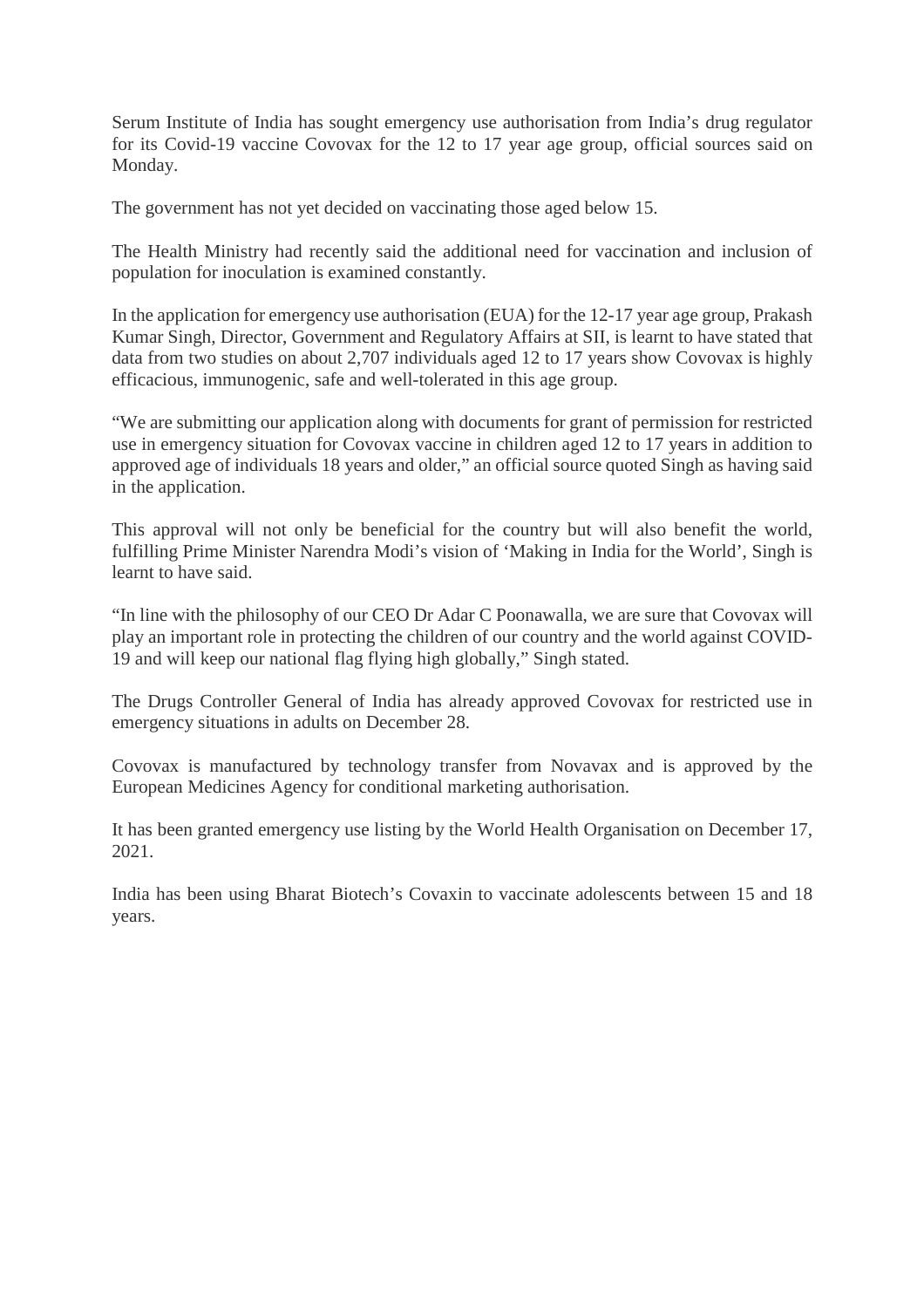Serum Institute of India has sought emergency use authorisation from India's drug regulator for its Covid-19 vaccine Covovax for the 12 to 17 year age group, official sources said on Monday.

The government has not yet decided on vaccinating those aged below 15.

The Health Ministry had recently said the additional need for vaccination and inclusion of population for inoculation is examined constantly.

In the application for emergency use authorisation (EUA) for the 12-17 year age group, Prakash Kumar Singh, Director, Government and Regulatory Affairs at SII, is learnt to have stated that data from two studies on about 2,707 individuals aged 12 to 17 years show Covovax is highly efficacious, immunogenic, safe and well-tolerated in this age group.

"We are submitting our application along with documents for grant of permission for restricted use in emergency situation for Covovax vaccine in children aged 12 to 17 years in addition to approved age of individuals 18 years and older," an official source quoted Singh as having said in the application.

This approval will not only be beneficial for the country but will also benefit the world, fulfilling Prime Minister Narendra Modi's vision of 'Making in India for the World', Singh is learnt to have said.

"In line with the philosophy of our CEO Dr Adar C Poonawalla, we are sure that Covovax will play an important role in protecting the children of our country and the world against COVID-19 and will keep our national flag flying high globally," Singh stated.

The Drugs Controller General of India has already approved Covovax for restricted use in emergency situations in adults on December 28.

Covovax is manufactured by technology transfer from Novavax and is approved by the European Medicines Agency for conditional marketing authorisation.

It has been granted emergency use listing by the World Health Organisation on December 17, 2021.

India has been using Bharat Biotech's Covaxin to vaccinate adolescents between 15 and 18 years.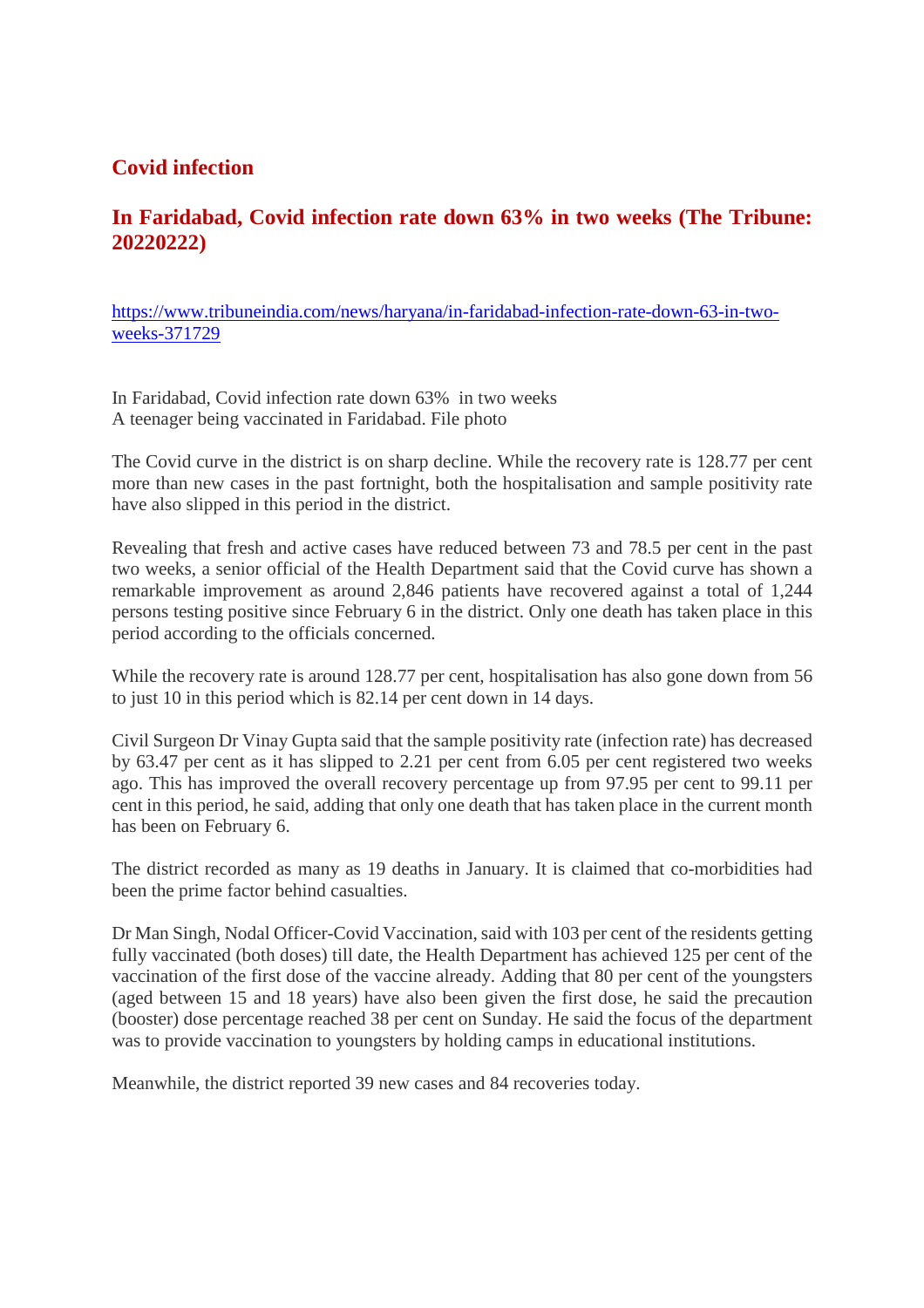# **Covid infection**

# **In Faridabad, Covid infection rate down 63% in two weeks (The Tribune: 20220222)**

https://www.tribuneindia.com/news/haryana/in-faridabad-infection-rate-down-63-in-twoweeks-371729

In Faridabad, Covid infection rate down 63% in two weeks A teenager being vaccinated in Faridabad. File photo

The Covid curve in the district is on sharp decline. While the recovery rate is 128.77 per cent more than new cases in the past fortnight, both the hospitalisation and sample positivity rate have also slipped in this period in the district.

Revealing that fresh and active cases have reduced between 73 and 78.5 per cent in the past two weeks, a senior official of the Health Department said that the Covid curve has shown a remarkable improvement as around 2,846 patients have recovered against a total of 1,244 persons testing positive since February 6 in the district. Only one death has taken place in this period according to the officials concerned.

While the recovery rate is around 128.77 per cent, hospitalisation has also gone down from 56 to just 10 in this period which is 82.14 per cent down in 14 days.

Civil Surgeon Dr Vinay Gupta said that the sample positivity rate (infection rate) has decreased by 63.47 per cent as it has slipped to 2.21 per cent from 6.05 per cent registered two weeks ago. This has improved the overall recovery percentage up from 97.95 per cent to 99.11 per cent in this period, he said, adding that only one death that has taken place in the current month has been on February 6.

The district recorded as many as 19 deaths in January. It is claimed that co-morbidities had been the prime factor behind casualties.

Dr Man Singh, Nodal Officer-Covid Vaccination, said with 103 per cent of the residents getting fully vaccinated (both doses) till date, the Health Department has achieved 125 per cent of the vaccination of the first dose of the vaccine already. Adding that 80 per cent of the youngsters (aged between 15 and 18 years) have also been given the first dose, he said the precaution (booster) dose percentage reached 38 per cent on Sunday. He said the focus of the department was to provide vaccination to youngsters by holding camps in educational institutions.

Meanwhile, the district reported 39 new cases and 84 recoveries today.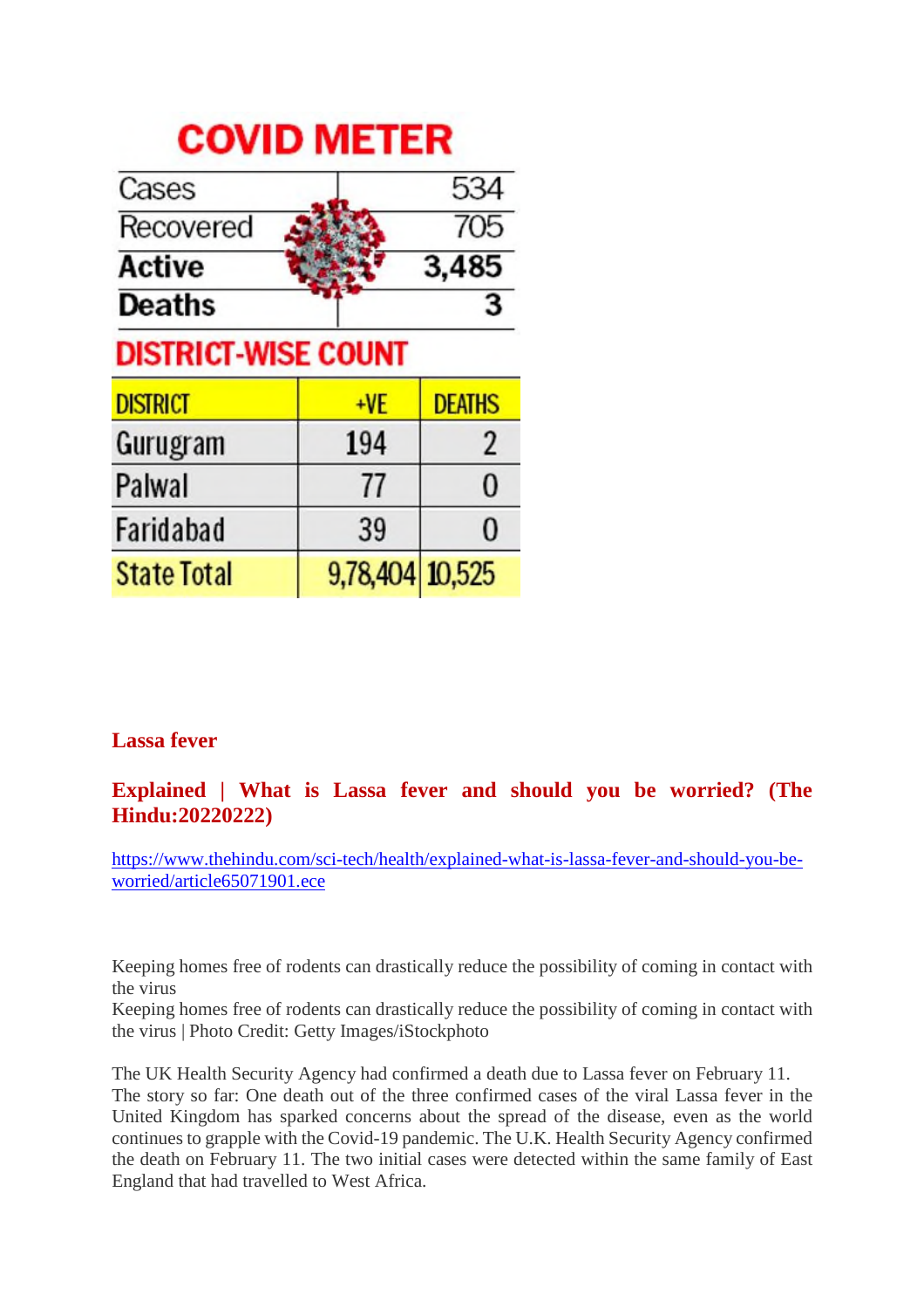# **COVID METER**

| Cases                      |                 | 534            |
|----------------------------|-----------------|----------------|
| Recovered                  |                 | 705            |
| <b>Active</b>              |                 | 3,485          |
| <b>Deaths</b>              |                 | 3              |
| <b>DISTRICT-WISE COUNT</b> |                 |                |
| <b>DISTRICT</b>            | +VE             | <b>DEATHS</b>  |
| Gurugram                   | 194             | $\overline{2}$ |
| Palwal                     | 77              | 0              |
| Faridabad                  | 39              | 0              |
| <b>State Total</b>         | 9,78,404 10,525 |                |

# **Lassa fever**

# **Explained | What is Lassa fever and should you be worried? (The Hindu:20220222)**

https://www.thehindu.com/sci-tech/health/explained-what-is-lassa-fever-and-should-you-beworried/article65071901.ece

Keeping homes free of rodents can drastically reduce the possibility of coming in contact with the virus

Keeping homes free of rodents can drastically reduce the possibility of coming in contact with the virus | Photo Credit: Getty Images/iStockphoto

The UK Health Security Agency had confirmed a death due to Lassa fever on February 11. The story so far: One death out of the three confirmed cases of the viral Lassa fever in the United Kingdom has sparked concerns about the spread of the disease, even as the world continues to grapple with the Covid-19 pandemic. The U.K. Health Security Agency confirmed the death on February 11. The two initial cases were detected within the same family of East England that had travelled to West Africa.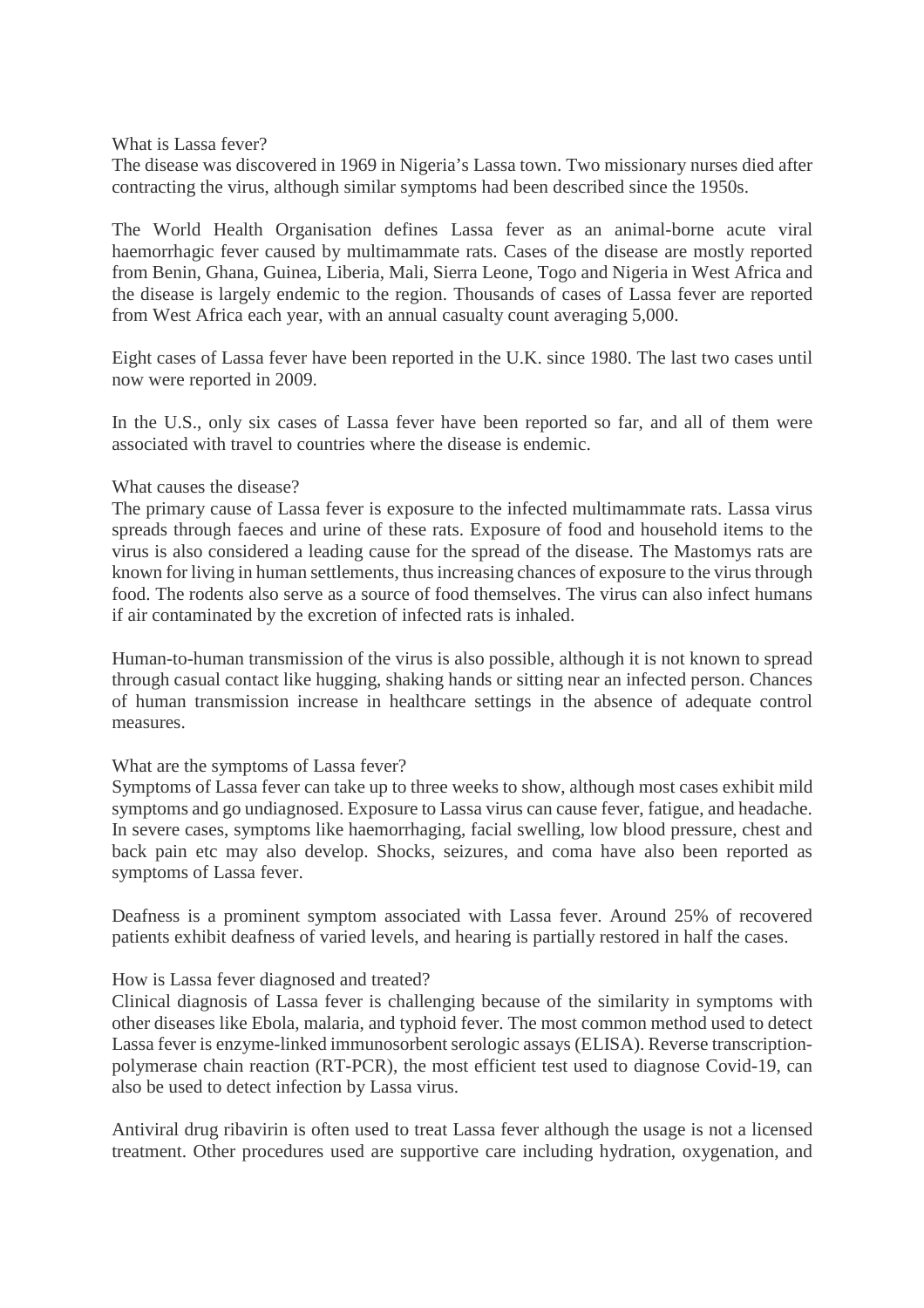What is Lassa fever?

The disease was discovered in 1969 in Nigeria's Lassa town. Two missionary nurses died after contracting the virus, although similar symptoms had been described since the 1950s.

The World Health Organisation defines Lassa fever as an animal-borne acute viral haemorrhagic fever caused by multimammate rats. Cases of the disease are mostly reported from Benin, Ghana, Guinea, Liberia, Mali, Sierra Leone, Togo and Nigeria in West Africa and the disease is largely endemic to the region. Thousands of cases of Lassa fever are reported from West Africa each year, with an annual casualty count averaging 5,000.

Eight cases of Lassa fever have been reported in the U.K. since 1980. The last two cases until now were reported in 2009.

In the U.S., only six cases of Lassa fever have been reported so far, and all of them were associated with travel to countries where the disease is endemic.

#### What causes the disease?

The primary cause of Lassa fever is exposure to the infected multimammate rats. Lassa virus spreads through faeces and urine of these rats. Exposure of food and household items to the virus is also considered a leading cause for the spread of the disease. The Mastomys rats are known for living in human settlements, thus increasing chances of exposure to the virus through food. The rodents also serve as a source of food themselves. The virus can also infect humans if air contaminated by the excretion of infected rats is inhaled.

Human-to-human transmission of the virus is also possible, although it is not known to spread through casual contact like hugging, shaking hands or sitting near an infected person. Chances of human transmission increase in healthcare settings in the absence of adequate control measures.

#### What are the symptoms of Lassa fever?

Symptoms of Lassa fever can take up to three weeks to show, although most cases exhibit mild symptoms and go undiagnosed. Exposure to Lassa virus can cause fever, fatigue, and headache. In severe cases, symptoms like haemorrhaging, facial swelling, low blood pressure, chest and back pain etc may also develop. Shocks, seizures, and coma have also been reported as symptoms of Lassa fever.

Deafness is a prominent symptom associated with Lassa fever. Around 25% of recovered patients exhibit deafness of varied levels, and hearing is partially restored in half the cases.

#### How is Lassa fever diagnosed and treated?

Clinical diagnosis of Lassa fever is challenging because of the similarity in symptoms with other diseases like Ebola, malaria, and typhoid fever. The most common method used to detect Lassa fever is enzyme-linked immunosorbent serologic assays (ELISA). Reverse transcriptionpolymerase chain reaction (RT-PCR), the most efficient test used to diagnose Covid-19, can also be used to detect infection by Lassa virus.

Antiviral drug ribavirin is often used to treat Lassa fever although the usage is not a licensed treatment. Other procedures used are supportive care including hydration, oxygenation, and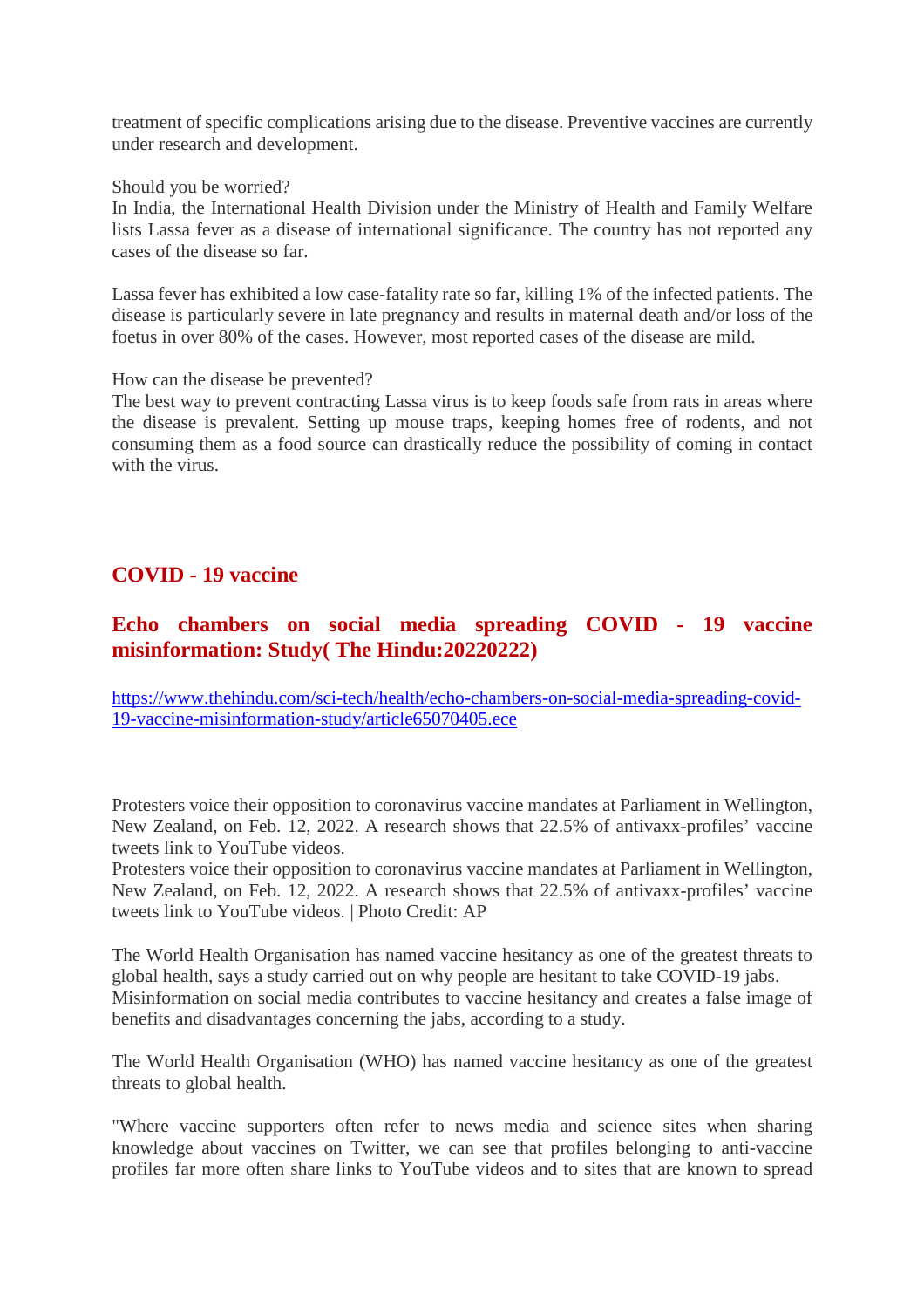treatment of specific complications arising due to the disease. Preventive vaccines are currently under research and development.

Should you be worried?

In India, the International Health Division under the Ministry of Health and Family Welfare lists Lassa fever as a disease of international significance. The country has not reported any cases of the disease so far.

Lassa fever has exhibited a low case-fatality rate so far, killing 1% of the infected patients. The disease is particularly severe in late pregnancy and results in maternal death and/or loss of the foetus in over 80% of the cases. However, most reported cases of the disease are mild.

How can the disease be prevented?

The best way to prevent contracting Lassa virus is to keep foods safe from rats in areas where the disease is prevalent. Setting up mouse traps, keeping homes free of rodents, and not consuming them as a food source can drastically reduce the possibility of coming in contact with the virus.

# **COVID - 19 vaccine**

# **Echo chambers on social media spreading COVID - 19 vaccine misinformation: Study( The Hindu:20220222)**

https://www.thehindu.com/sci-tech/health/echo-chambers-on-social-media-spreading-covid-19-vaccine-misinformation-study/article65070405.ece

Protesters voice their opposition to coronavirus vaccine mandates at Parliament in Wellington, New Zealand, on Feb. 12, 2022. A research shows that 22.5% of antivaxx-profiles' vaccine tweets link to YouTube videos.

Protesters voice their opposition to coronavirus vaccine mandates at Parliament in Wellington, New Zealand, on Feb. 12, 2022. A research shows that 22.5% of antivaxx-profiles' vaccine tweets link to YouTube videos. | Photo Credit: AP

The World Health Organisation has named vaccine hesitancy as one of the greatest threats to global health, says a study carried out on why people are hesitant to take COVID-19 jabs. Misinformation on social media contributes to vaccine hesitancy and creates a false image of benefits and disadvantages concerning the jabs, according to a study.

The World Health Organisation (WHO) has named vaccine hesitancy as one of the greatest threats to global health.

"Where vaccine supporters often refer to news media and science sites when sharing knowledge about vaccines on Twitter, we can see that profiles belonging to anti-vaccine profiles far more often share links to YouTube videos and to sites that are known to spread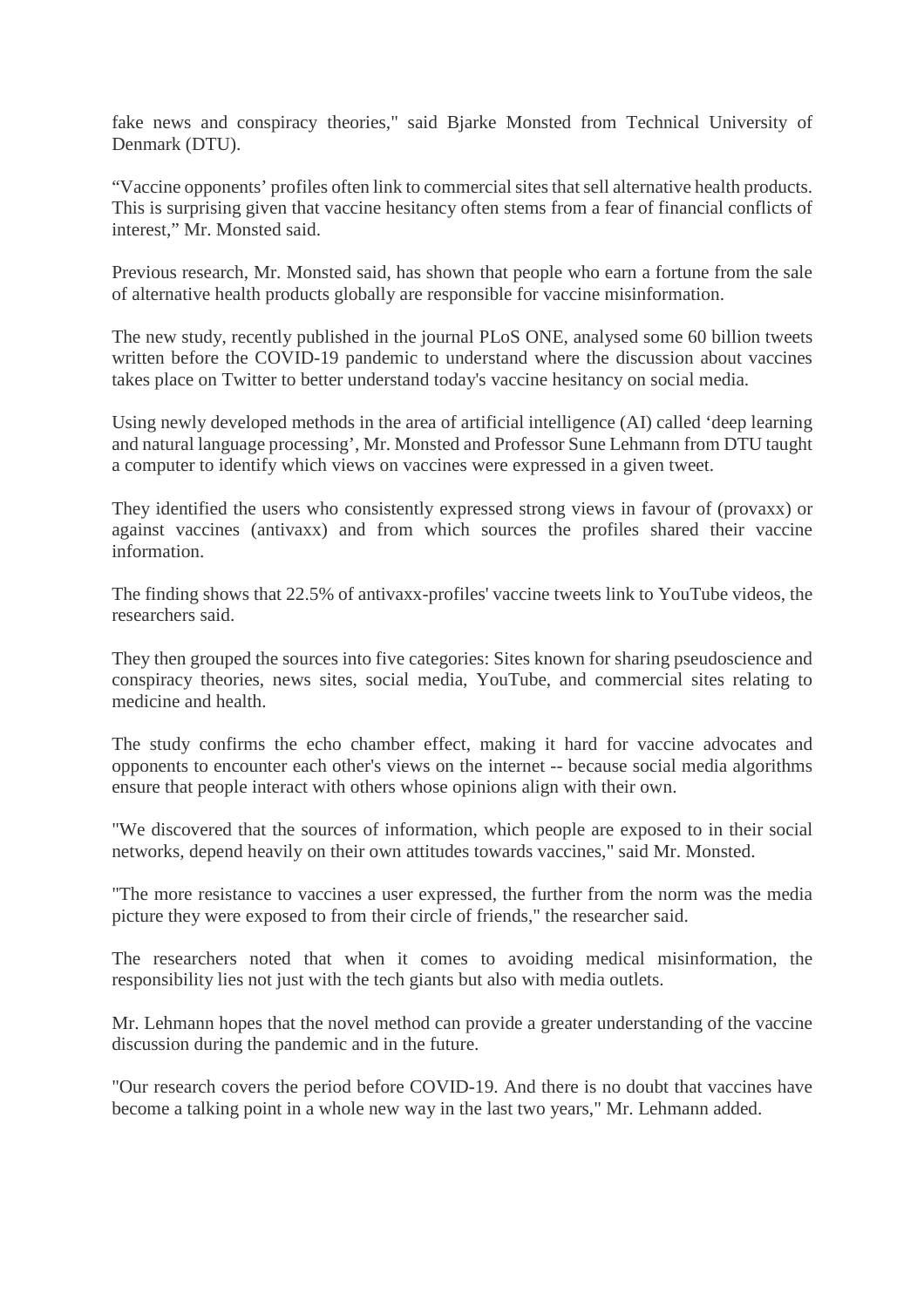fake news and conspiracy theories," said Bjarke Monsted from Technical University of Denmark (DTU).

"Vaccine opponents' profiles often link to commercial sites that sell alternative health products. This is surprising given that vaccine hesitancy often stems from a fear of financial conflicts of interest," Mr. Monsted said.

Previous research, Mr. Monsted said, has shown that people who earn a fortune from the sale of alternative health products globally are responsible for vaccine misinformation.

The new study, recently published in the journal PLoS ONE, analysed some 60 billion tweets written before the COVID-19 pandemic to understand where the discussion about vaccines takes place on Twitter to better understand today's vaccine hesitancy on social media.

Using newly developed methods in the area of artificial intelligence (AI) called 'deep learning and natural language processing', Mr. Monsted and Professor Sune Lehmann from DTU taught a computer to identify which views on vaccines were expressed in a given tweet.

They identified the users who consistently expressed strong views in favour of (provaxx) or against vaccines (antivaxx) and from which sources the profiles shared their vaccine information.

The finding shows that 22.5% of antivaxx-profiles' vaccine tweets link to YouTube videos, the researchers said.

They then grouped the sources into five categories: Sites known for sharing pseudoscience and conspiracy theories, news sites, social media, YouTube, and commercial sites relating to medicine and health.

The study confirms the echo chamber effect, making it hard for vaccine advocates and opponents to encounter each other's views on the internet -- because social media algorithms ensure that people interact with others whose opinions align with their own.

"We discovered that the sources of information, which people are exposed to in their social networks, depend heavily on their own attitudes towards vaccines," said Mr. Monsted.

"The more resistance to vaccines a user expressed, the further from the norm was the media picture they were exposed to from their circle of friends," the researcher said.

The researchers noted that when it comes to avoiding medical misinformation, the responsibility lies not just with the tech giants but also with media outlets.

Mr. Lehmann hopes that the novel method can provide a greater understanding of the vaccine discussion during the pandemic and in the future.

"Our research covers the period before COVID-19. And there is no doubt that vaccines have become a talking point in a whole new way in the last two years," Mr. Lehmann added.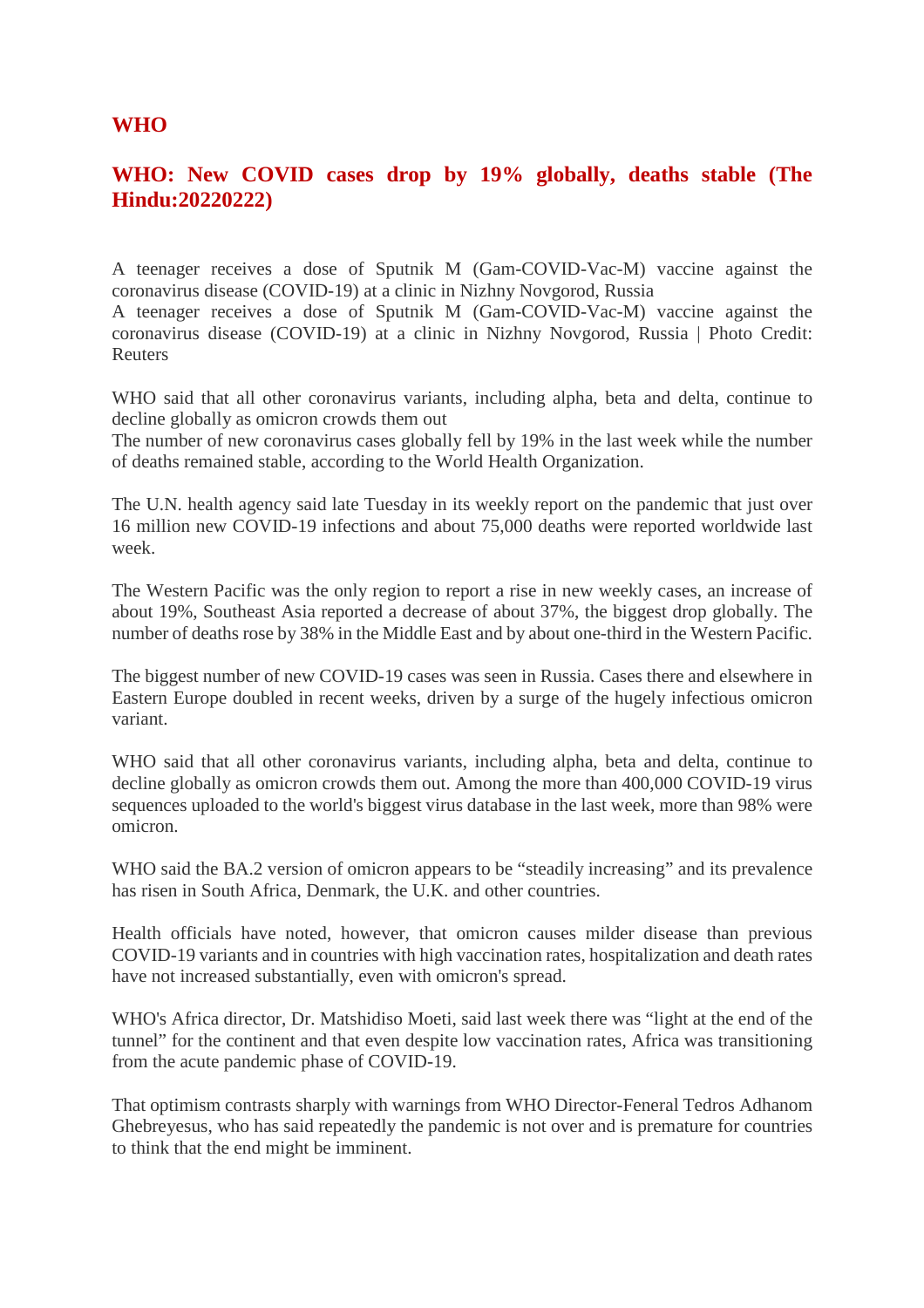#### **WHO**

# **WHO: New COVID cases drop by 19% globally, deaths stable (The Hindu:20220222)**

A teenager receives a dose of Sputnik M (Gam-COVID-Vac-M) vaccine against the coronavirus disease (COVID-19) at a clinic in Nizhny Novgorod, Russia

A teenager receives a dose of Sputnik M (Gam-COVID-Vac-M) vaccine against the coronavirus disease (COVID-19) at a clinic in Nizhny Novgorod, Russia | Photo Credit: Reuters

WHO said that all other coronavirus variants, including alpha, beta and delta, continue to decline globally as omicron crowds them out

The number of new coronavirus cases globally fell by 19% in the last week while the number of deaths remained stable, according to the World Health Organization.

The U.N. health agency said late Tuesday in its weekly report on the pandemic that just over 16 million new COVID-19 infections and about 75,000 deaths were reported worldwide last week.

The Western Pacific was the only region to report a rise in new weekly cases, an increase of about 19%, Southeast Asia reported a decrease of about 37%, the biggest drop globally. The number of deaths rose by 38% in the Middle East and by about one-third in the Western Pacific.

The biggest number of new COVID-19 cases was seen in Russia. Cases there and elsewhere in Eastern Europe doubled in recent weeks, driven by a surge of the hugely infectious omicron variant.

WHO said that all other coronavirus variants, including alpha, beta and delta, continue to decline globally as omicron crowds them out. Among the more than 400,000 COVID-19 virus sequences uploaded to the world's biggest virus database in the last week, more than 98% were omicron.

WHO said the BA.2 version of omicron appears to be "steadily increasing" and its prevalence has risen in South Africa, Denmark, the U.K. and other countries.

Health officials have noted, however, that omicron causes milder disease than previous COVID-19 variants and in countries with high vaccination rates, hospitalization and death rates have not increased substantially, even with omicron's spread.

WHO's Africa director, Dr. Matshidiso Moeti, said last week there was "light at the end of the tunnel" for the continent and that even despite low vaccination rates, Africa was transitioning from the acute pandemic phase of COVID-19.

That optimism contrasts sharply with warnings from WHO Director-Feneral Tedros Adhanom Ghebreyesus, who has said repeatedly the pandemic is not over and is premature for countries to think that the end might be imminent.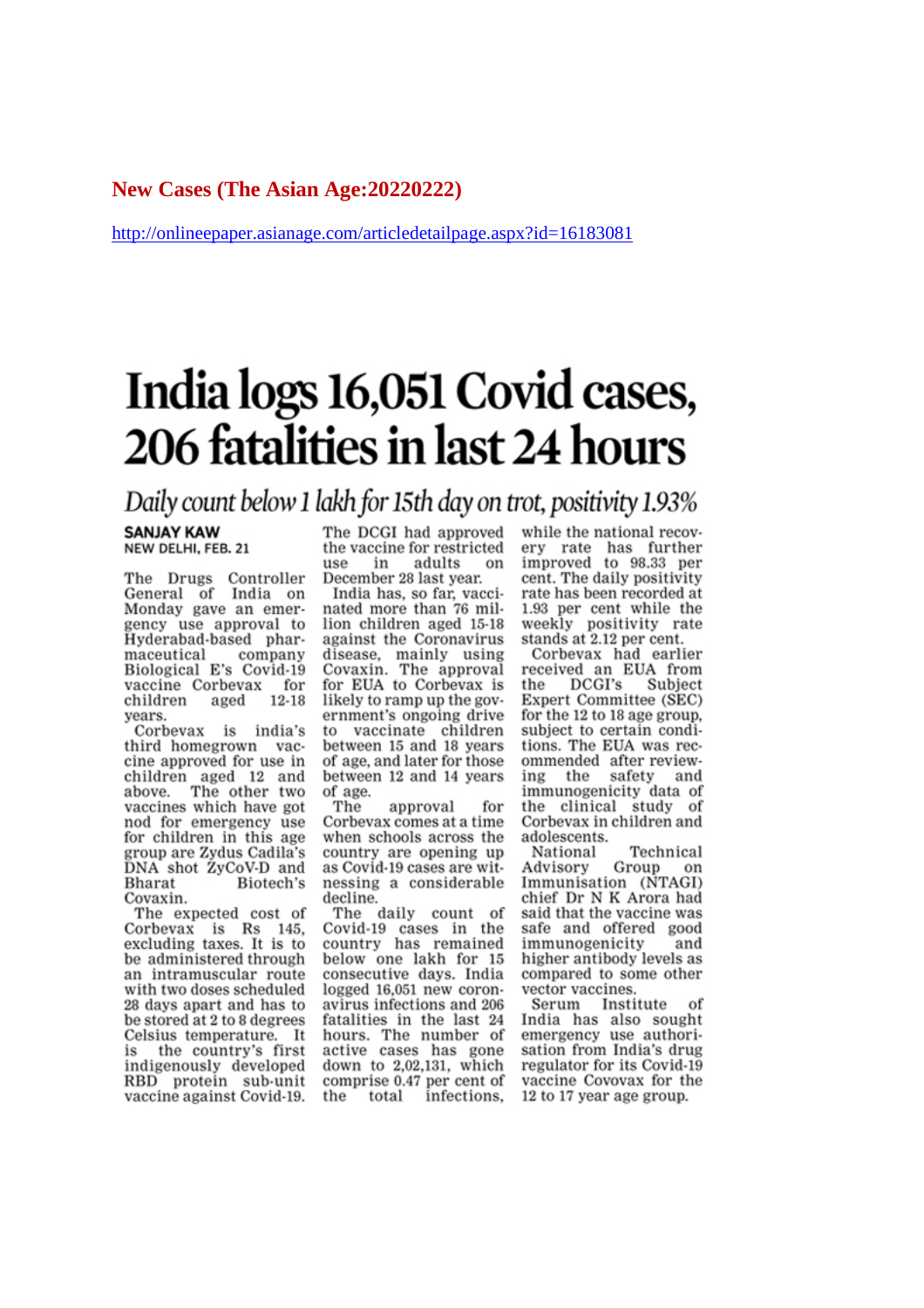#### **New Cases (The Asian Age:20220222)**

http://onlineepaper.asianage.com/articledetailpage.aspx?id=16183081

# India logs 16,051 Covid cases, 206 fatalities in last 24 hours

# Daily count below 1 lakh for 15th day on trot, positivity 1.93%

#### **SANJAY KAW** NEW DELHI, FEB. 21

The Drugs Controller General of India on Monday gave an emergency use approval to Hyderabad-based pharcompany maceutical Biological E's Covid-19 vaccine Corbevax for children aged  $12 - 18$ vears.

Corbevax is india's third homegrown vaccine approved for use in children aged 12 and<br>above. The other two vaccines which have got nod for emergency use for children in this age group are Zydus Cadila's DNA shot ZyCoV-D and **Bharat** Biotech's Covaxin.

The expected cost of Corbevax is Rs 145. excluding taxes. It is to be administered through an intramuscular route with two doses scheduled 28 days apart and has to be stored at 2 to 8 degrees Celsius temperature. It the country's first is indigenously developed RBD protein sub-unit vaccine against Covid-19. The DCGI had approved the vaccine for restricted 11Se in adults on December 28 last year.

India has, so far, vaccinated more than 76 million children aged 15-18 against the Coronavirus disease, mainly using<br>Covaxin. The approval for EUA to Corbevax is likely to ramp up the government's ongoing drive to vaccinate children between 15 and 18 years of age, and later for those between 12 and 14 years of age.

The approval for Corbevax comes at a time when schools across the country are opening up as Covid-19 cases are witnessing a considerable decline.

The daily count of Covid-19 cases in the country has remained below one lakh for 15 consecutive days. India logged 16,051 new coronavirus infections and 206 fatalities in the last 24 hours. The number of active cases has gone down to 2,02,131, which comprise 0.47 per cent of total infections, the

while the national recovery rate has further improved to 98.33 per cent. The daily positivity rate has been recorded at 1.93 per cent while the weekly positivity rate stands at 2.12 per cent.

Corbevax had earlier received an EUA from  $DCGI's$ the Subject Expert Committee (SEC) for the 12 to 18 age group. subject to certain conditions. The EUA was recommended after reviewing the safety and immunogenicity data of the clinical study of Corbevax in children and adolescents.

Technical National Group Advisory on Immunisation (NTAGI) chief Dr N K Arora had said that the vaccine was safe and offered good immunogenicity and higher antibody levels as compared to some other vector vaccines.

Serum Institute Ωf India has also sought emergency use authorisation from India's drug regulator for its Covid-19 vaccine Covovax for the 12 to 17 year age group.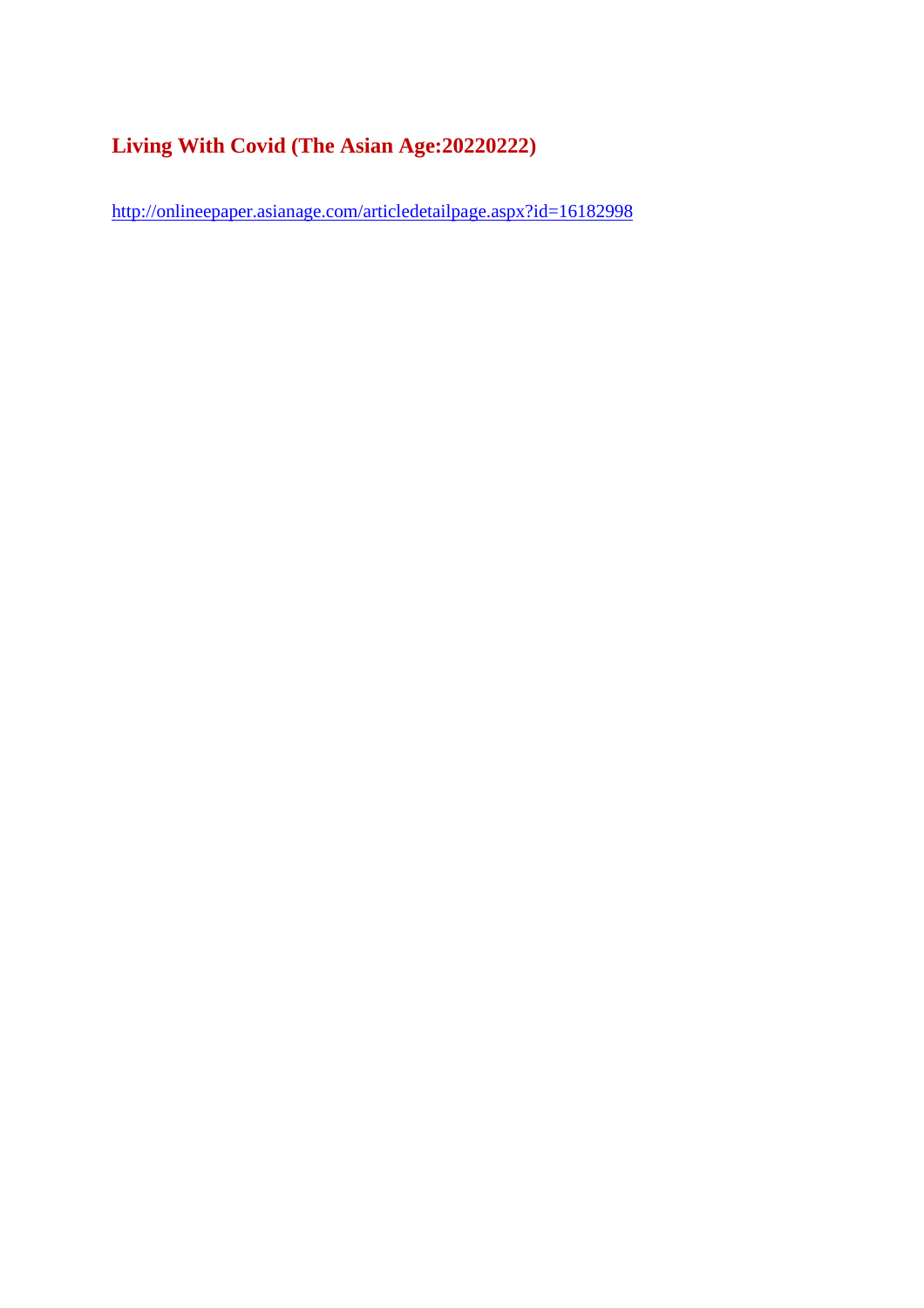# **Living With Covid (The Asian Age:20220222)**

http://onlineepaper.asianage.com/articledetailpage.aspx?id=16182998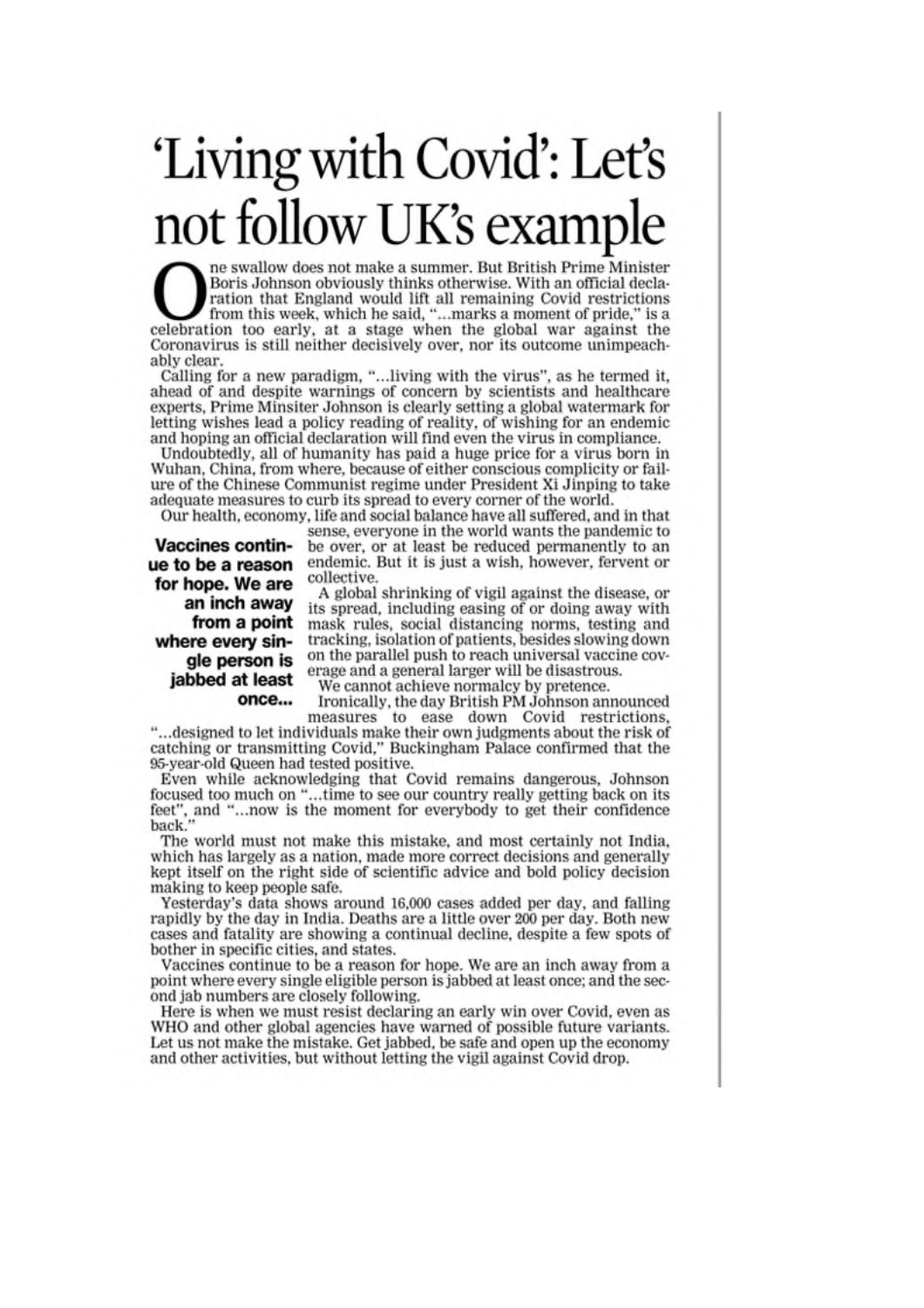# 'Living with Covid': Let's<br>not follow UK's example

ne swallow does not make a summer. But British Prime Minister Boris Johnson obviously thinks otherwise. With an official declaration that England would lift all remaining Covid restrictions from this week, which he said, "...marks a moment of pride," is a celebration too early, at a stage when the global war against the Coronavirus is still neither decisively over, nor its outcome unimpeachably clear.

Calling for a new paradigm, "...living with the virus", as he termed it, ahead of and despite warnings of concern by scientists and healthcare experts, Prime Minsiter Johnson is clearly setting a global watermark for letting wishes lead a policy reading of reality, of wishing for an endemic and hoping an official declaration will find even the virus in compliance.

Undoubtedly, all of humanity has paid a huge price for a virus born in Wuhan, China, from where, because of either conscious complicity or failure of the Chinese Communist regime under President Xi Jinping to take adequate measures to curb its spread to every corner of the world.

Our health, economy, life and social balance have all suffered, and in that sense, everyone in the world wants the pandemic to **Vaccines contin**be over, or at least be reduced permanently to an endemic. But it is just a wish, however, fervent or collective.

ue to be a reason for hope. We are an inch away from a point where every single person is jabbed at least once...

A global shrinking of vigil against the disease, or its spread, including easing of or doing away with mask rules, social distancing norms, testing and tracking, isolation of patients, besides slowing down on the parallel push to reach universal vaccine coverage and a general larger will be disastrous.

We cannot achieve normalcy by pretence.

Ironically, the day British PM Johnson announced

measures to ease down Covid restrictions, "...designed to let individuals make their own judgments about the risk of catching or transmitting Covid," Buckingham Palace confirmed that the 95-year-old Queen had tested positive.

Even while acknowledging that Covid remains dangerous, Johnson focused too much on "...time to see our country really getting back on its feet", and "...now is the moment for everybody to get their confidence back."

The world must not make this mistake, and most certainly not India, which has largely as a nation, made more correct decisions and generally kept itself on the right side of scientific advice and bold policy decision making to keep people safe.

Yesterday's data shows around 16,000 cases added per day, and falling rapidly by the day in India. Deaths are a little over 200 per day. Both new cases and fatality are showing a continual decline, despite a few spots of bother in specific cities, and states.

Vaccines continue to be a reason for hope. We are an inch away from a point where every single eligible person is jabbed at least once; and the second jab numbers are closely following.

Here is when we must resist declaring an early win over Covid, even as WHO and other global agencies have warned of possible future variants. Let us not make the mistake. Get jabbed, be safe and open up the economy and other activities, but without letting the vigil against Covid drop.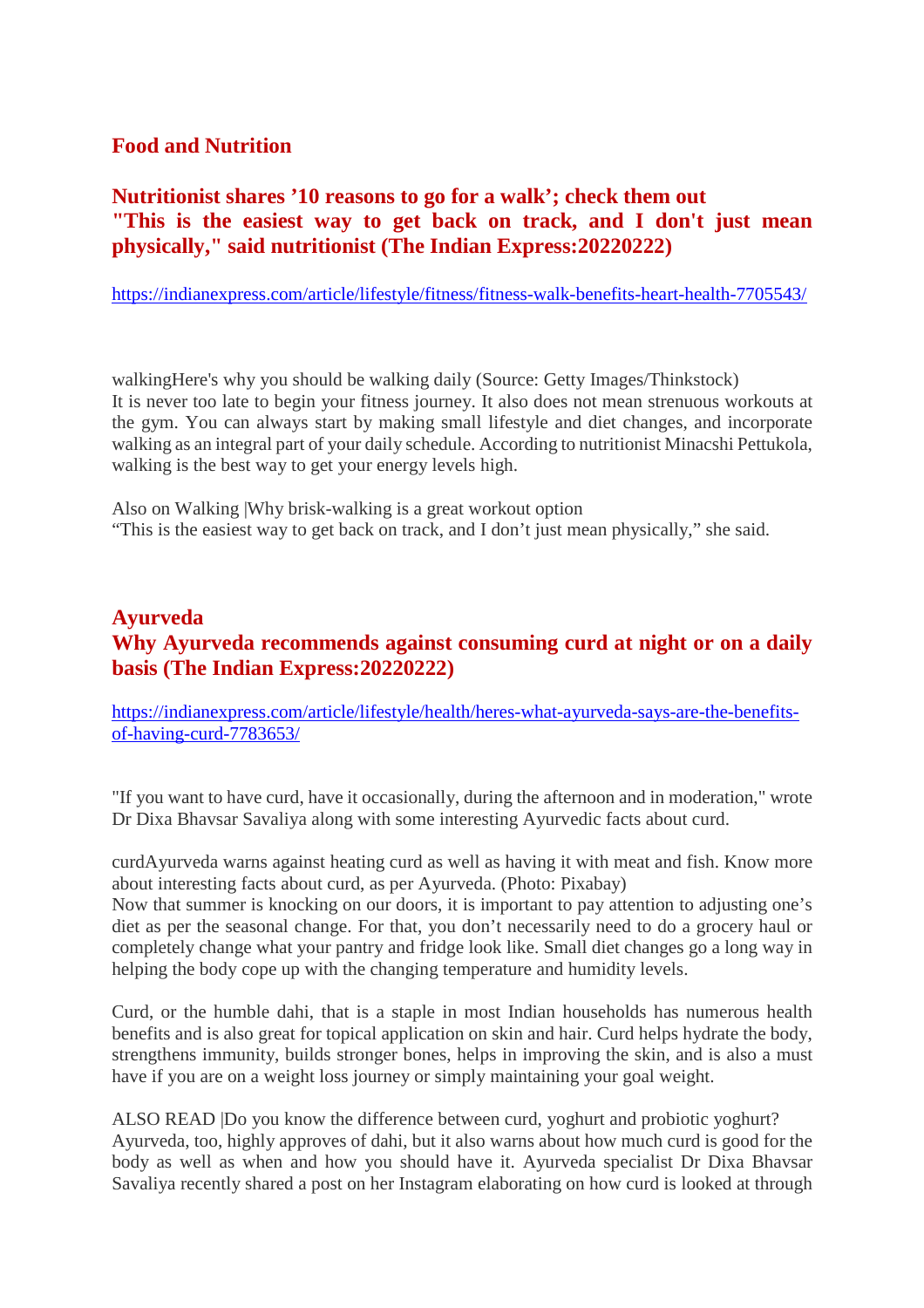## **Food and Nutrition**

# **Nutritionist shares '10 reasons to go for a walk'; check them out "This is the easiest way to get back on track, and I don't just mean physically," said nutritionist (The Indian Express:20220222)**

https://indianexpress.com/article/lifestyle/fitness/fitness-walk-benefits-heart-health-7705543/

walkingHere's why you should be walking daily (Source: Getty Images/Thinkstock) It is never too late to begin your fitness journey. It also does not mean strenuous workouts at the gym. You can always start by making small lifestyle and diet changes, and incorporate walking as an integral part of your daily schedule. According to nutritionist Minacshi Pettukola, walking is the best way to get your energy levels high.

Also on Walking |Why brisk-walking is a great workout option "This is the easiest way to get back on track, and I don't just mean physically," she said.

# **Ayurveda Why Ayurveda recommends against consuming curd at night or on a daily basis (The Indian Express:20220222)**

https://indianexpress.com/article/lifestyle/health/heres-what-ayurveda-says-are-the-benefitsof-having-curd-7783653/

"If you want to have curd, have it occasionally, during the afternoon and in moderation," wrote Dr Dixa Bhavsar Savaliya along with some interesting Ayurvedic facts about curd.

curdAyurveda warns against heating curd as well as having it with meat and fish. Know more about interesting facts about curd, as per Ayurveda. (Photo: Pixabay)

Now that summer is knocking on our doors, it is important to pay attention to adjusting one's diet as per the seasonal change. For that, you don't necessarily need to do a grocery haul or completely change what your pantry and fridge look like. Small diet changes go a long way in helping the body cope up with the changing temperature and humidity levels.

Curd, or the humble dahi, that is a staple in most Indian households has numerous health benefits and is also great for topical application on skin and hair. Curd helps hydrate the body, strengthens immunity, builds stronger bones, helps in improving the skin, and is also a must have if you are on a weight loss journey or simply maintaining your goal weight.

ALSO READ |Do you know the difference between curd, yoghurt and probiotic yoghurt? Ayurveda, too, highly approves of dahi, but it also warns about how much curd is good for the body as well as when and how you should have it. Ayurveda specialist Dr Dixa Bhavsar Savaliya recently shared a post on her Instagram elaborating on how curd is looked at through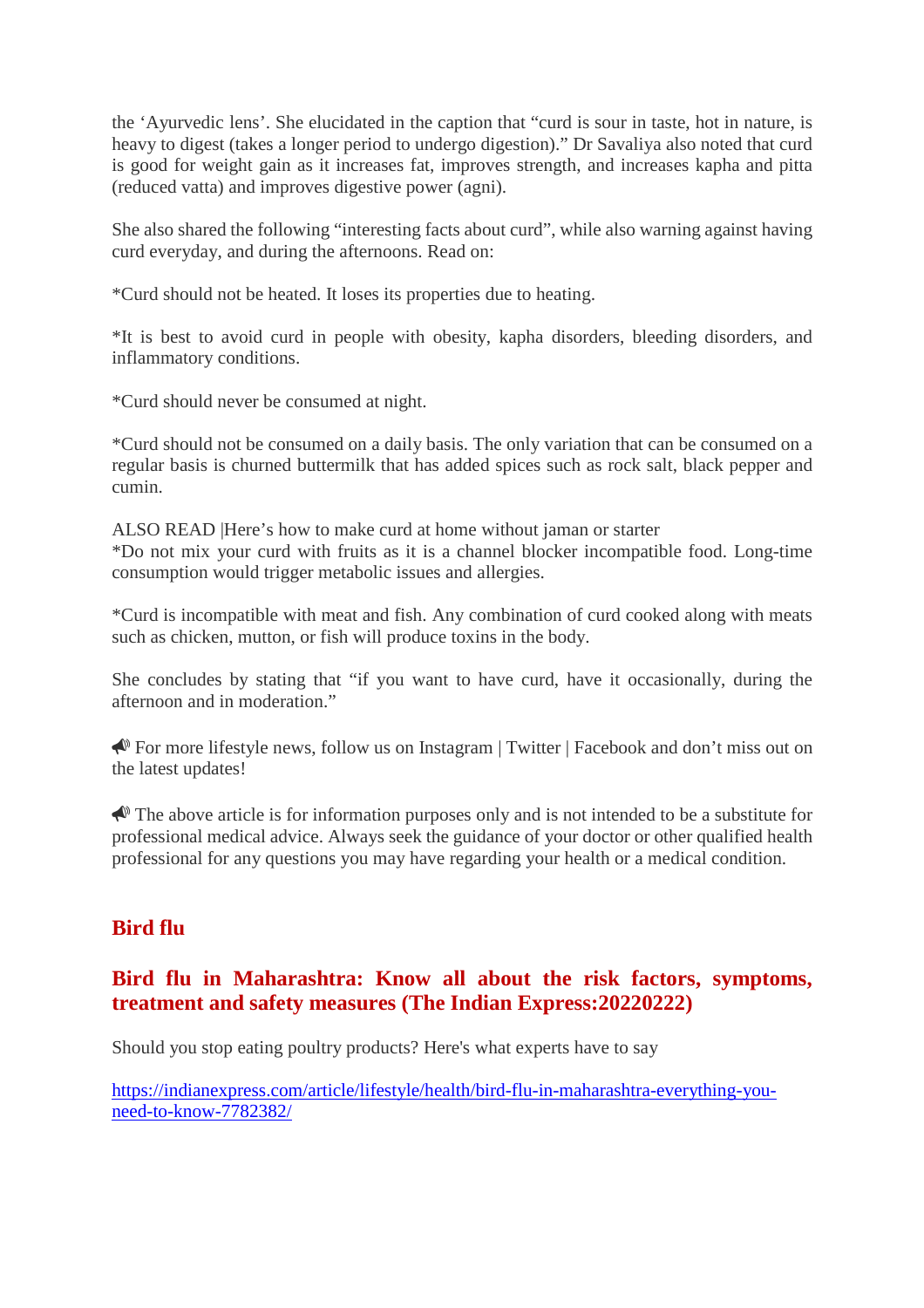the 'Ayurvedic lens'. She elucidated in the caption that "curd is sour in taste, hot in nature, is heavy to digest (takes a longer period to undergo digestion)." Dr Savaliya also noted that curd is good for weight gain as it increases fat, improves strength, and increases kapha and pitta (reduced vatta) and improves digestive power (agni).

She also shared the following "interesting facts about curd", while also warning against having curd everyday, and during the afternoons. Read on:

\*Curd should not be heated. It loses its properties due to heating.

\*It is best to avoid curd in people with obesity, kapha disorders, bleeding disorders, and inflammatory conditions.

\*Curd should never be consumed at night.

\*Curd should not be consumed on a daily basis. The only variation that can be consumed on a regular basis is churned buttermilk that has added spices such as rock salt, black pepper and cumin.

ALSO READ |Here's how to make curd at home without jaman or starter \*Do not mix your curd with fruits as it is a channel blocker incompatible food. Long-time consumption would trigger metabolic issues and allergies.

\*Curd is incompatible with meat and fish. Any combination of curd cooked along with meats such as chicken, mutton, or fish will produce toxins in the body.

She concludes by stating that "if you want to have curd, have it occasionally, during the afternoon and in moderation."

 For more lifestyle news, follow us on Instagram | Twitter | Facebook and don't miss out on the latest updates!

 $\triangle$  The above article is for information purposes only and is not intended to be a substitute for professional medical advice. Always seek the guidance of your doctor or other qualified health professional for any questions you may have regarding your health or a medical condition.

# **Bird flu**

# **Bird flu in Maharashtra: Know all about the risk factors, symptoms, treatment and safety measures (The Indian Express:20220222)**

Should you stop eating poultry products? Here's what experts have to say

https://indianexpress.com/article/lifestyle/health/bird-flu-in-maharashtra-everything-youneed-to-know-7782382/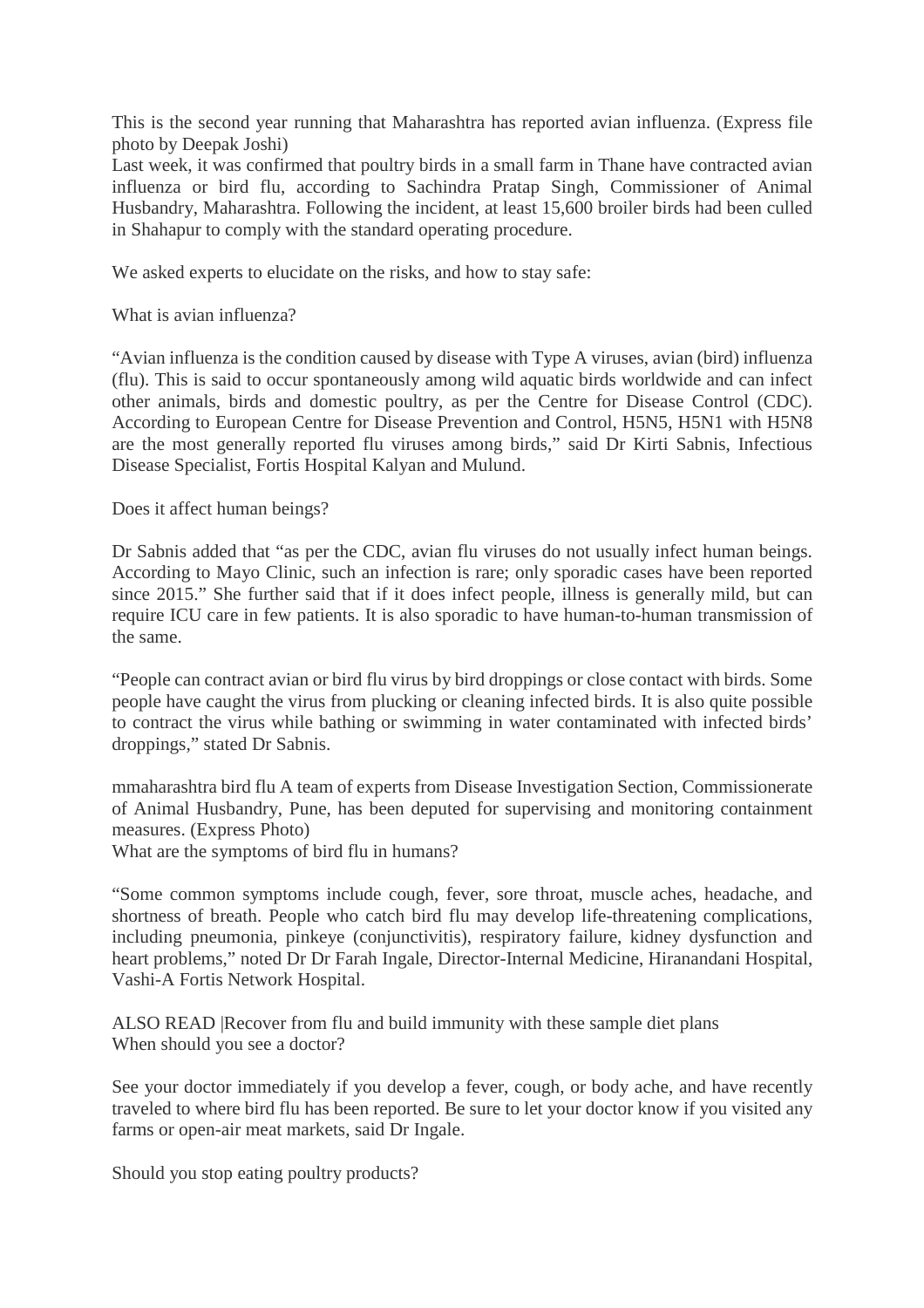This is the second year running that Maharashtra has reported avian influenza. (Express file photo by Deepak Joshi)

Last week, it was confirmed that poultry birds in a small farm in Thane have contracted avian influenza or bird flu, according to Sachindra Pratap Singh, Commissioner of Animal Husbandry, Maharashtra. Following the incident, at least 15,600 broiler birds had been culled in Shahapur to comply with the standard operating procedure.

We asked experts to elucidate on the risks, and how to stay safe:

What is avian influenza?

"Avian influenza is the condition caused by disease with Type A viruses, avian (bird) influenza (flu). This is said to occur spontaneously among wild aquatic birds worldwide and can infect other animals, birds and domestic poultry, as per the Centre for Disease Control (CDC). According to European Centre for Disease Prevention and Control, H5N5, H5N1 with H5N8 are the most generally reported flu viruses among birds," said Dr Kirti Sabnis, Infectious Disease Specialist, Fortis Hospital Kalyan and Mulund.

Does it affect human beings?

Dr Sabnis added that "as per the CDC, avian flu viruses do not usually infect human beings. According to Mayo Clinic, such an infection is rare; only sporadic cases have been reported since 2015." She further said that if it does infect people, illness is generally mild, but can require ICU care in few patients. It is also sporadic to have human-to-human transmission of the same.

"People can contract avian or bird flu virus by bird droppings or close contact with birds. Some people have caught the virus from plucking or cleaning infected birds. It is also quite possible to contract the virus while bathing or swimming in water contaminated with infected birds' droppings," stated Dr Sabnis.

mmaharashtra bird flu A team of experts from Disease Investigation Section, Commissionerate of Animal Husbandry, Pune, has been deputed for supervising and monitoring containment measures. (Express Photo)

What are the symptoms of bird flu in humans?

"Some common symptoms include cough, fever, sore throat, muscle aches, headache, and shortness of breath. People who catch bird flu may develop life-threatening complications, including pneumonia, pinkeye (conjunctivitis), respiratory failure, kidney dysfunction and heart problems," noted Dr Dr Farah Ingale, Director-Internal Medicine, Hiranandani Hospital, Vashi-A Fortis Network Hospital.

ALSO READ |Recover from flu and build immunity with these sample diet plans When should you see a doctor?

See your doctor immediately if you develop a fever, cough, or body ache, and have recently traveled to where bird flu has been reported. Be sure to let your doctor know if you visited any farms or open-air meat markets, said Dr Ingale.

Should you stop eating poultry products?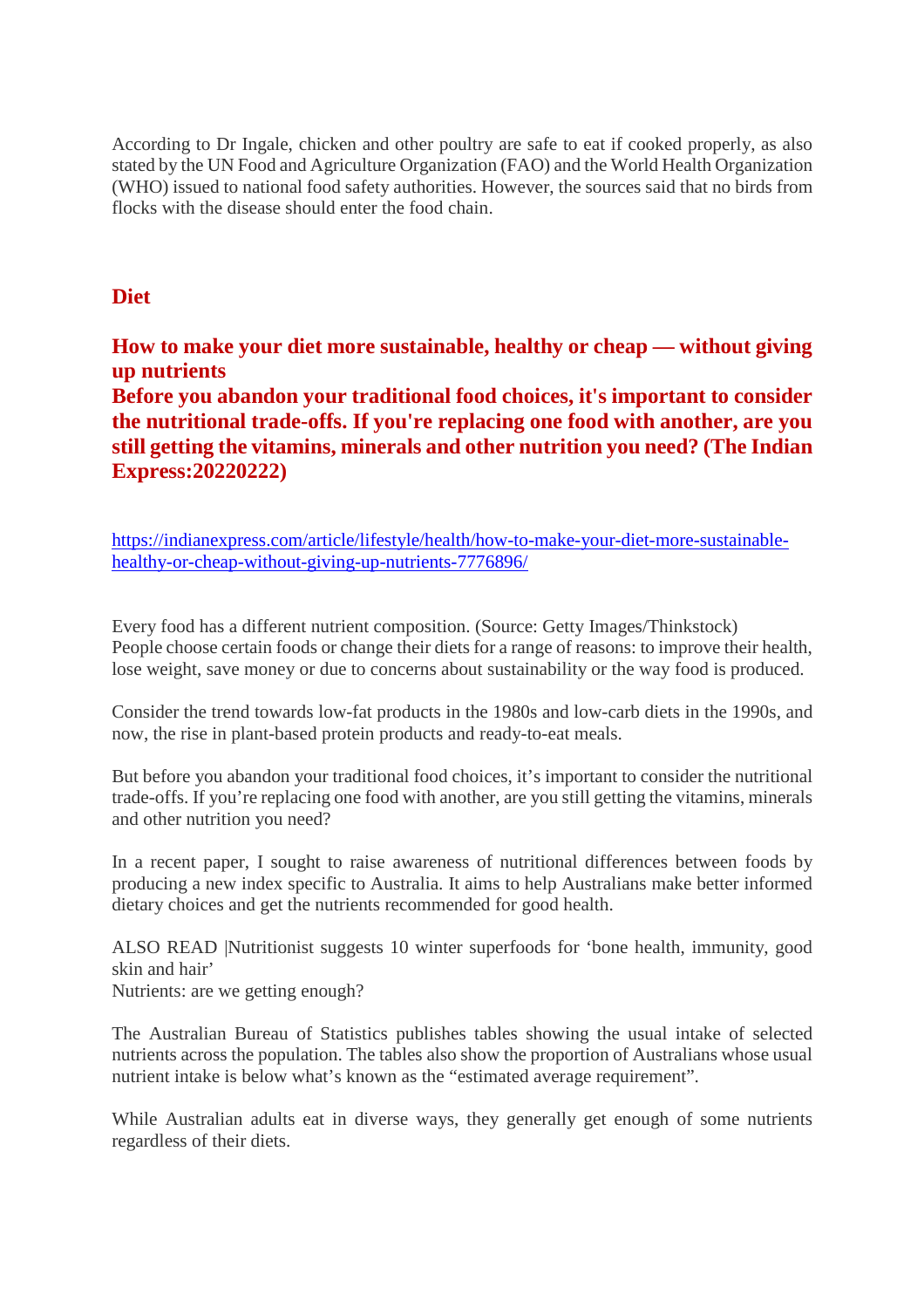According to Dr Ingale, chicken and other poultry are safe to eat if cooked properly, as also stated by the UN Food and Agriculture Organization (FAO) and the World Health Organization (WHO) issued to national food safety authorities. However, the sources said that no birds from flocks with the disease should enter the food chain.

# **Diet**

**How to make your diet more sustainable, healthy or cheap — without giving up nutrients Before you abandon your traditional food choices, it's important to consider the nutritional trade-offs. If you're replacing one food with another, are you**

**still getting the vitamins, minerals and other nutrition you need? (The Indian Express:20220222)**

https://indianexpress.com/article/lifestyle/health/how-to-make-your-diet-more-sustainablehealthy-or-cheap-without-giving-up-nutrients-7776896/

Every food has a different nutrient composition. (Source: Getty Images/Thinkstock) People choose certain foods or change their diets for a range of reasons: to improve their health, lose weight, save money or due to concerns about sustainability or the way food is produced.

Consider the trend towards low-fat products in the 1980s and low-carb diets in the 1990s, and now, the rise in plant-based protein products and ready-to-eat meals.

But before you abandon your traditional food choices, it's important to consider the nutritional trade-offs. If you're replacing one food with another, are you still getting the vitamins, minerals and other nutrition you need?

In a recent paper, I sought to raise awareness of nutritional differences between foods by producing a new index specific to Australia. It aims to help Australians make better informed dietary choices and get the nutrients recommended for good health.

ALSO READ |Nutritionist suggests 10 winter superfoods for 'bone health, immunity, good skin and hair'

Nutrients: are we getting enough?

The Australian Bureau of Statistics publishes tables showing the usual intake of selected nutrients across the population. The tables also show the proportion of Australians whose usual nutrient intake is below what's known as the "estimated average requirement".

While Australian adults eat in diverse ways, they generally get enough of some nutrients regardless of their diets.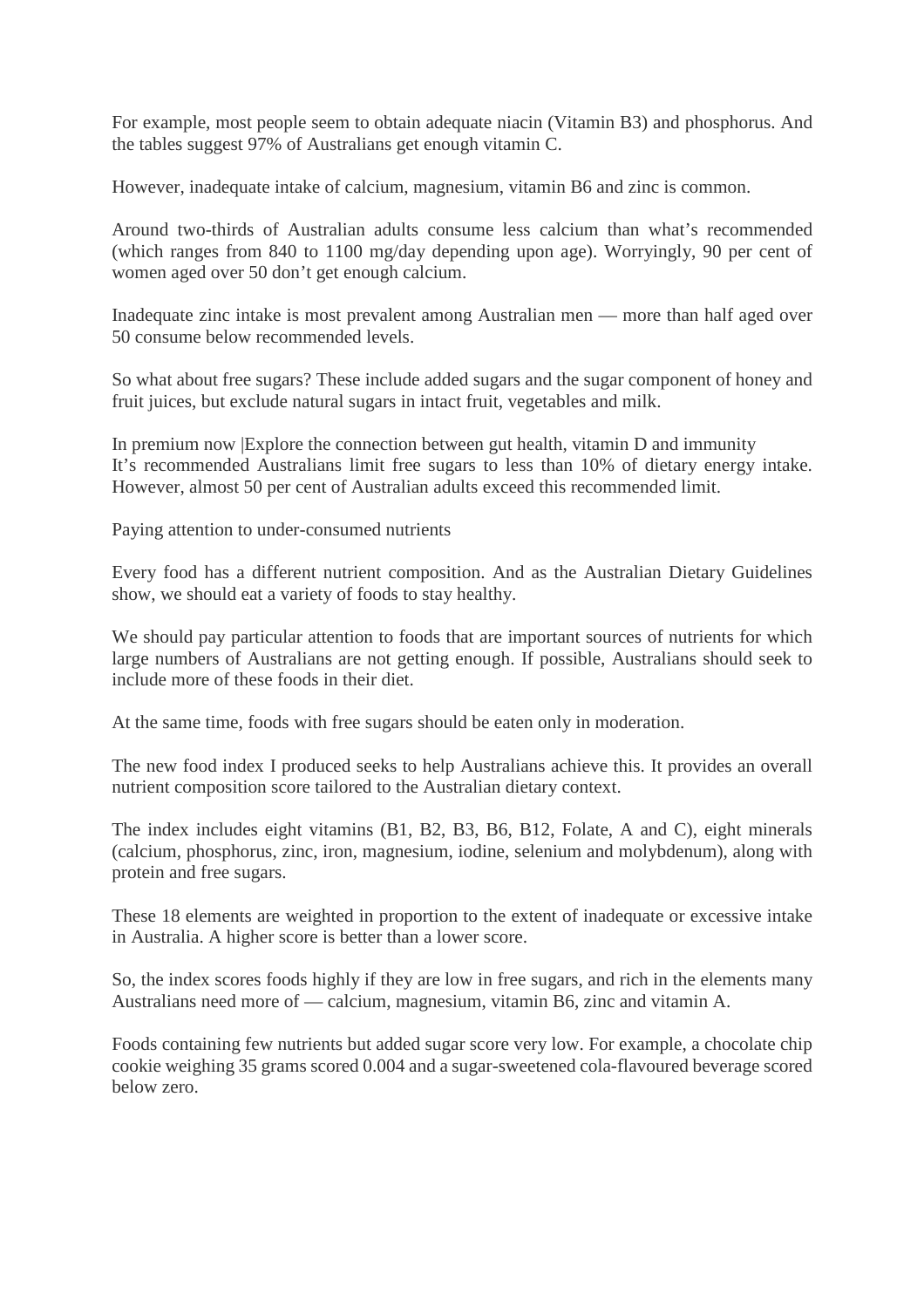For example, most people seem to obtain adequate niacin (Vitamin B3) and phosphorus. And the tables suggest 97% of Australians get enough vitamin C.

However, inadequate intake of calcium, magnesium, vitamin B6 and zinc is common.

Around two-thirds of Australian adults consume less calcium than what's recommended (which ranges from 840 to 1100 mg/day depending upon age). Worryingly, 90 per cent of women aged over 50 don't get enough calcium.

Inadequate zinc intake is most prevalent among Australian men — more than half aged over 50 consume below recommended levels.

So what about free sugars? These include added sugars and the sugar component of honey and fruit juices, but exclude natural sugars in intact fruit, vegetables and milk.

In premium now |Explore the connection between gut health, vitamin D and immunity It's recommended Australians limit free sugars to less than 10% of dietary energy intake. However, almost 50 per cent of Australian adults exceed this recommended limit.

Paying attention to under-consumed nutrients

Every food has a different nutrient composition. And as the Australian Dietary Guidelines show, we should eat a variety of foods to stay healthy.

We should pay particular attention to foods that are important sources of nutrients for which large numbers of Australians are not getting enough. If possible, Australians should seek to include more of these foods in their diet.

At the same time, foods with free sugars should be eaten only in moderation.

The new food index I produced seeks to help Australians achieve this. It provides an overall nutrient composition score tailored to the Australian dietary context.

The index includes eight vitamins (B1, B2, B3, B6, B12, Folate, A and C), eight minerals (calcium, phosphorus, zinc, iron, magnesium, iodine, selenium and molybdenum), along with protein and free sugars.

These 18 elements are weighted in proportion to the extent of inadequate or excessive intake in Australia. A higher score is better than a lower score.

So, the index scores foods highly if they are low in free sugars, and rich in the elements many Australians need more of — calcium, magnesium, vitamin B6, zinc and vitamin A.

Foods containing few nutrients but added sugar score very low. For example, a chocolate chip cookie weighing 35 grams scored 0.004 and a sugar-sweetened cola-flavoured beverage scored below zero.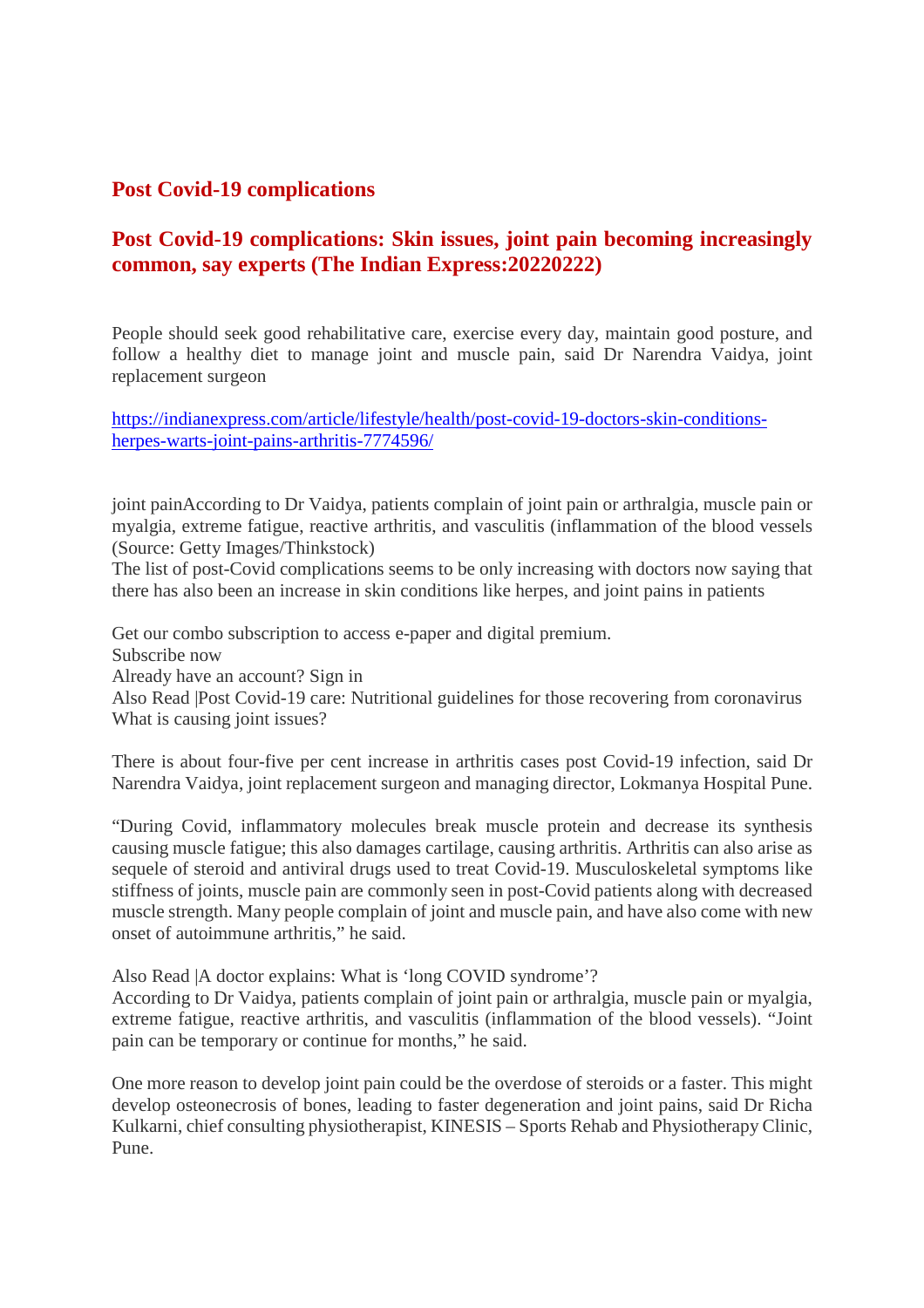# **Post Covid-19 complications**

# **Post Covid-19 complications: Skin issues, joint pain becoming increasingly common, say experts (The Indian Express:20220222)**

People should seek good rehabilitative care, exercise every day, maintain good posture, and follow a healthy diet to manage joint and muscle pain, said Dr Narendra Vaidya, joint replacement surgeon

https://indianexpress.com/article/lifestyle/health/post-covid-19-doctors-skin-conditionsherpes-warts-joint-pains-arthritis-7774596/

joint painAccording to Dr Vaidya, patients complain of joint pain or arthralgia, muscle pain or myalgia, extreme fatigue, reactive arthritis, and vasculitis (inflammation of the blood vessels (Source: Getty Images/Thinkstock)

The list of post-Covid complications seems to be only increasing with doctors now saying that there has also been an increase in skin conditions like herpes, and joint pains in patients

Get our combo subscription to access e-paper and digital premium. Subscribe now Already have an account? Sign in Also Read |Post Covid-19 care: Nutritional guidelines for those recovering from coronavirus What is causing joint issues?

There is about four-five per cent increase in arthritis cases post Covid-19 infection, said Dr Narendra Vaidya, joint replacement surgeon and managing director, Lokmanya Hospital Pune.

"During Covid, inflammatory molecules break muscle protein and decrease its synthesis causing muscle fatigue; this also damages cartilage, causing arthritis. Arthritis can also arise as sequele of steroid and antiviral drugs used to treat Covid-19. Musculoskeletal symptoms like stiffness of joints, muscle pain are commonly seen in post-Covid patients along with decreased muscle strength. Many people complain of joint and muscle pain, and have also come with new onset of autoimmune arthritis," he said.

Also Read |A doctor explains: What is 'long COVID syndrome'?

According to Dr Vaidya, patients complain of joint pain or arthralgia, muscle pain or myalgia, extreme fatigue, reactive arthritis, and vasculitis (inflammation of the blood vessels). "Joint pain can be temporary or continue for months," he said.

One more reason to develop joint pain could be the overdose of steroids or a faster. This might develop osteonecrosis of bones, leading to faster degeneration and joint pains, said Dr Richa Kulkarni, chief consulting physiotherapist, KINESIS – Sports Rehab and Physiotherapy Clinic, Pune.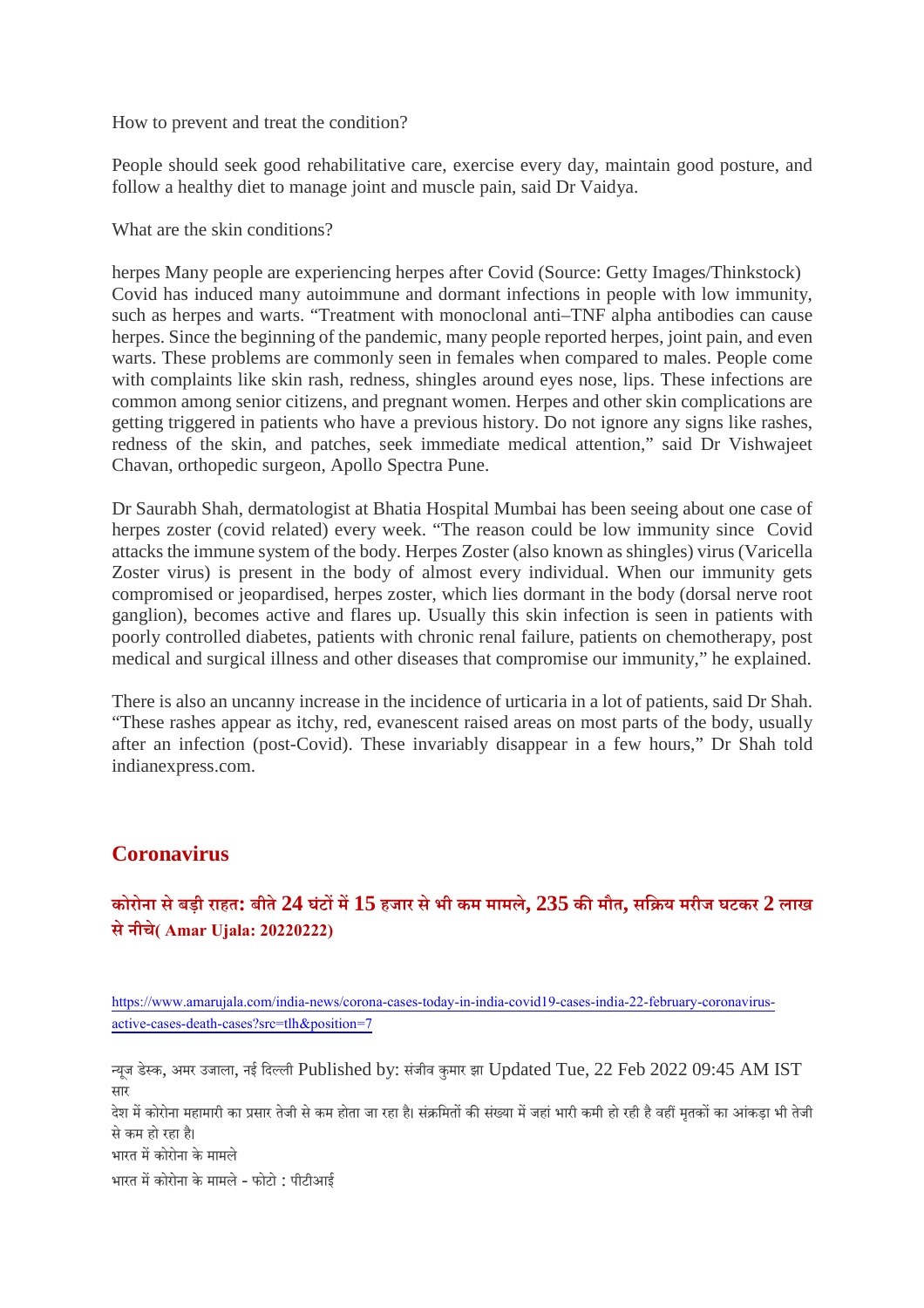How to prevent and treat the condition?

People should seek good rehabilitative care, exercise every day, maintain good posture, and follow a healthy diet to manage joint and muscle pain, said Dr Vaidya.

What are the skin conditions?

herpes Many people are experiencing herpes after Covid (Source: Getty Images/Thinkstock) Covid has induced many autoimmune and dormant infections in people with low immunity, such as herpes and warts. "Treatment with monoclonal anti–TNF alpha antibodies can cause herpes. Since the beginning of the pandemic, many people reported herpes, joint pain, and even warts. These problems are commonly seen in females when compared to males. People come with complaints like skin rash, redness, shingles around eyes nose, lips. These infections are common among senior citizens, and pregnant women. Herpes and other skin complications are getting triggered in patients who have a previous history. Do not ignore any signs like rashes, redness of the skin, and patches, seek immediate medical attention," said Dr Vishwajeet Chavan, orthopedic surgeon, Apollo Spectra Pune.

Dr Saurabh Shah, dermatologist at Bhatia Hospital Mumbai has been seeing about one case of herpes zoster (covid related) every week. "The reason could be low immunity since Covid attacks the immune system of the body. Herpes Zoster (also known as shingles) virus (Varicella Zoster virus) is present in the body of almost every individual. When our immunity gets compromised or jeopardised, herpes zoster, which lies dormant in the body (dorsal nerve root ganglion), becomes active and flares up. Usually this skin infection is seen in patients with poorly controlled diabetes, patients with chronic renal failure, patients on chemotherapy, post medical and surgical illness and other diseases that compromise our immunity," he explained.

There is also an uncanny increase in the incidence of urticaria in a lot of patients, said Dr Shah. "These rashes appear as itchy, red, evanescent raised areas on most parts of the body, usually after an infection (post-Covid). These invariably disappear in a few hours," Dr Shah told indianexpress.com.

# **Coronavirus**

# कोरोना से बडी राहत: बीते  $24$  घंटों में  $15$  हजार से भी कम मामले,  $235$  की मौत, सक्रिय मरीज घटकर  $2$  लाख **सेनीचे( Amar Ujala: 20220222)**

https://www.amarujala.com/india-news/corona-cases-today-in-india-covid19-cases-india-22-february-coronavirusactive-cases-death-cases?src=tlh&position=7

यजू डेक, अमर उजाला, नई िदली Published by: संजीव कुमार झा Updated Tue, 22 Feb 2022 09:45 AM IST सार

देश में कोरोना महामारी का प्रसार तेजी से कम होता जा रहा है। संक्रमितों की संख्या में जहां भारी कमी हो रही है वहीं मतकों का आंकड़ा भी तेजी सेकम हो रहा ह।ै

भारत में कोरोना के मामले

भारत में कोरोना के मामले - फोटो : पीटीआई